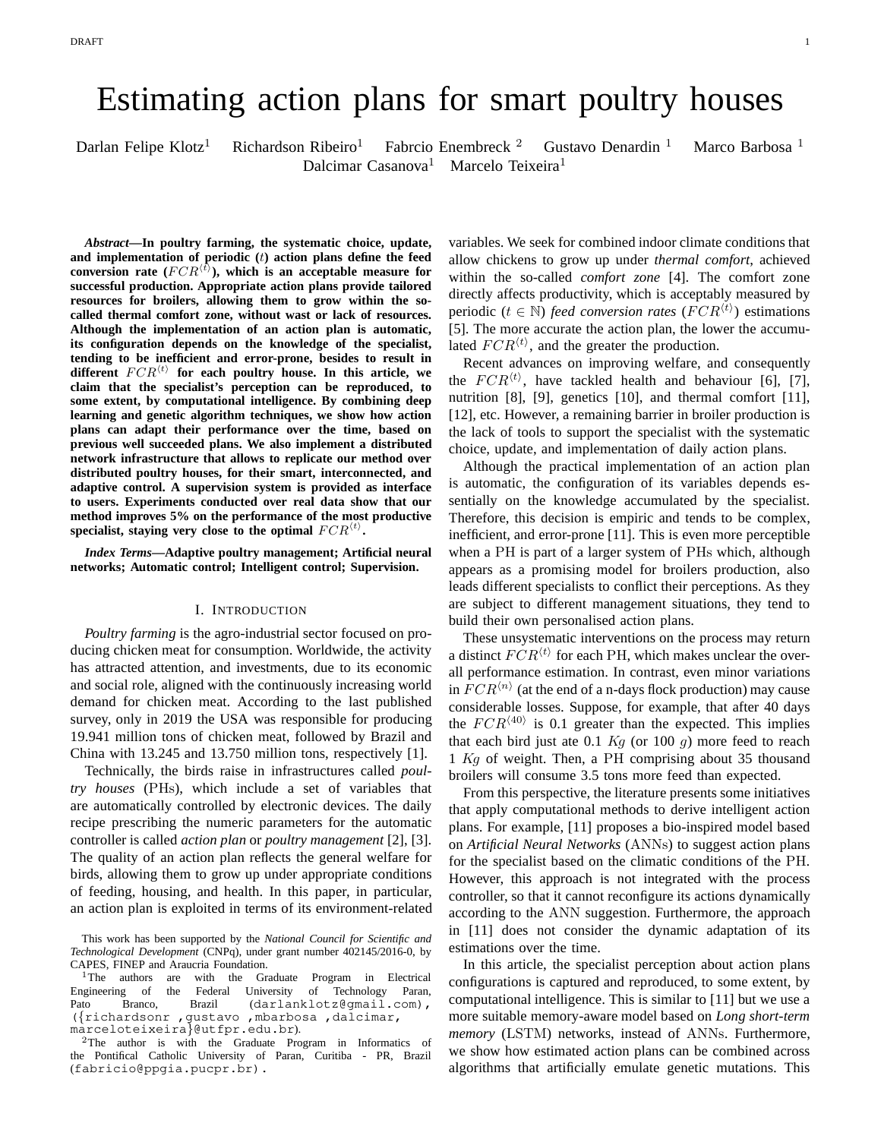# Estimating action plans for smart poultry houses

Darlan Felipe Klotz<sup>1</sup> Richardson Ribeiro<sup>1</sup> Fabrcio Enembreck<sup>2</sup> Gustavo Denardin<sup>1</sup> Marco Barbosa<sup>1</sup> Dalcimar Casanova<sup>1</sup> Marcelo Teixeira<sup>1</sup>

*Abstract***—In poultry farming, the systematic choice, update, and implementation of periodic (**t**) action plans define the feed** conversion rate  $(FCR^{(t)})$ , which is an acceptable measure for **successful production. Appropriate action plans provide tailored resources for broilers, allowing them to grow within the socalled thermal comfort zone, without wast or lack of resources. Although the implementation of an action plan is automatic, its configuration depends on the knowledge of the specialist, tending to be inefficient and error-prone, besides to result in**  $different$   $FCR<sup>{(t)}</sup>$  for each poultry house. In this article, we **claim that the specialist's perception can be reproduced, to some extent, by computational intelligence. By combining deep learning and genetic algorithm techniques, we show how action plans can adapt their performance over the time, based on previous well succeeded plans. We also implement a distributed network infrastructure that allows to replicate our method over distributed poultry houses, for their smart, interconnected, and adaptive control. A supervision system is provided as interface to users. Experiments conducted over real data show that our method improves 5% on the performance of the most productive** specialist, staying very close to the optimal  $FCR^{(t)}$ .

*Index Terms***—Adaptive poultry management; Artificial neural networks; Automatic control; Intelligent control; Supervision.**

#### I. INTRODUCTION

*Poultry farming* is the agro-industrial sector focused on producing chicken meat for consumption. Worldwide, the activity has attracted attention, and investments, due to its economic and social role, aligned with the continuously increasing world demand for chicken meat. According to the last published survey, only in 2019 the USA was responsible for producing 19.941 million tons of chicken meat, followed by Brazil and China with 13.245 and 13.750 million tons, respectively [1].

Technically, the birds raise in infrastructures called *poultry houses* (PHs), which include a set of variables that are automatically controlled by electronic devices. The daily recipe prescribing the numeric parameters for the automatic controller is called *action plan* or *poultry management* [2], [3]. The quality of an action plan reflects the general welfare for birds, allowing them to grow up under appropriate conditions of feeding, housing, and health. In this paper, in particular, an action plan is exploited in terms of its environment-related variables. We seek for combined indoor climate conditions that allow chickens to grow up under *thermal comfort*, achieved within the so-called *comfort zone* [4]. The comfort zone directly affects productivity, which is acceptably measured by periodic ( $t \in \mathbb{N}$ ) *feed conversion rates* ( $FCR<sup>{i}</sup>$ ) estimations [5]. The more accurate the action plan, the lower the accumulated  $FCR^{\langle t \rangle}$ , and the greater the production.

Recent advances on improving welfare, and consequently the  $FCR^{\langle t \rangle}$ , have tackled health and behaviour [6], [7], nutrition [8], [9], genetics [10], and thermal comfort [11], [12], etc. However, a remaining barrier in broiler production is the lack of tools to support the specialist with the systematic choice, update, and implementation of daily action plans.

Although the practical implementation of an action plan is automatic, the configuration of its variables depends essentially on the knowledge accumulated by the specialist. Therefore, this decision is empiric and tends to be complex, inefficient, and error-prone [11]. This is even more perceptible when a PH is part of a larger system of PHs which, although appears as a promising model for broilers production, also leads different specialists to conflict their perceptions. As they are subject to different management situations, they tend to build their own personalised action plans.

These unsystematic interventions on the process may return a distinct  $FCR^{\langle t \rangle}$  for each PH, which makes unclear the overall performance estimation. In contrast, even minor variations in  $FCR^{\langle n\rangle}$  (at the end of a n-days flock production) may cause considerable losses. Suppose, for example, that after 40 days the  $FCR^{(40)}$  is 0.1 greater than the expected. This implies that each bird just ate 0.1  $Kg$  (or 100  $g$ ) more feed to reach 1 Kg of weight. Then, a PH comprising about 35 thousand broilers will consume 3.5 tons more feed than expected.

From this perspective, the literature presents some initiatives that apply computational methods to derive intelligent action plans. For example, [11] proposes a bio-inspired model based on *Artificial Neural Networks* (ANNs) to suggest action plans for the specialist based on the climatic conditions of the PH. However, this approach is not integrated with the process controller, so that it cannot reconfigure its actions dynamically according to the ANN suggestion. Furthermore, the approach in [11] does not consider the dynamic adaptation of its estimations over the time.

In this article, the specialist perception about action plans configurations is captured and reproduced, to some extent, by computational intelligence. This is similar to [11] but we use a more suitable memory-aware model based on *Long short-term memory* (LSTM) networks, instead of ANNs. Furthermore, we show how estimated action plans can be combined across algorithms that artificially emulate genetic mutations. This

This work has been supported by the *National Council for Scientific and Technological Development* (CNPq), under grant number 402145/2016-0, by

CAPES, FINEP and Araucria Foundation.<br><sup>1</sup>The authors are with the Gra with the Graduate Program in Electrical Engineering of the Federal University of Technology Paran, Pato Branco, Brazil (darlanklotz@gmail.com), ({richardsonr ,gustavo ,mbarbosa ,dalcimar, marceloteixeira}@utfpr.edu.br).

<sup>2</sup>The author is with the Graduate Program in Informatics of the Pontifical Catholic University of Paran, Curitiba - PR, Brazil (fabricio@ppgia.pucpr.br).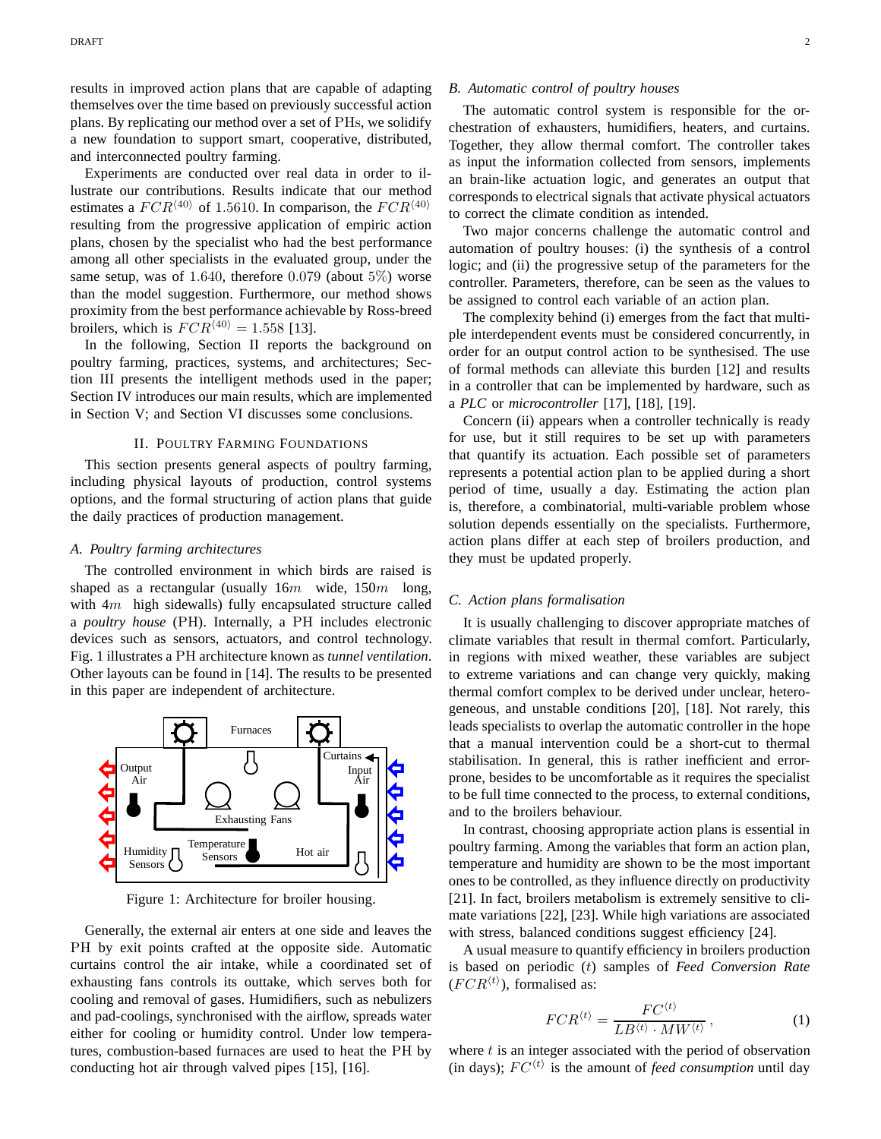results in improved action plans that are capable of adapting themselves over the time based on previously successful action plans. By replicating our method over a set of PHs, we solidify a new foundation to support smart, cooperative, distributed, and interconnected poultry farming.

Experiments are conducted over real data in order to illustrate our contributions. Results indicate that our method estimates a  $FCR^{\langle 40 \rangle}$  of 1.5610. In comparison, the  $FCR^{\langle 40 \rangle}$ resulting from the progressive application of empiric action plans, chosen by the specialist who had the best performance among all other specialists in the evaluated group, under the same setup, was of 1.640, therefore 0.079 (about  $5\%$ ) worse than the model suggestion. Furthermore, our method shows proximity from the best performance achievable by Ross-breed broilers, which is  $FCR^{\langle 40 \rangle} = 1.558$  [13].

In the following, Section II reports the background on poultry farming, practices, systems, and architectures; Section III presents the intelligent methods used in the paper; Section IV introduces our main results, which are implemented in Section V; and Section VI discusses some conclusions.

## II. POULTRY FARMING FOUNDATIONS

This section presents general aspects of poultry farming, including physical layouts of production, control systems options, and the formal structuring of action plans that guide the daily practices of production management.

#### *A. Poultry farming architectures*

The controlled environment in which birds are raised is shaped as a rectangular (usually  $16m$  wide,  $150m$  long, with  $4m$  high sidewalls) fully encapsulated structure called a *poultry house* (PH). Internally, a PH includes electronic devices such as sensors, actuators, and control technology. Fig. 1 illustrates a PH architecture known as *tunnel ventilation*. Other layouts can be found in [14]. The results to be presented in this paper are independent of architecture.<br>rag replacements



Figure 1: Architecture for broiler housing.

Generally, the external air enters at one side and leaves the PH by exit points crafted at the opposite side. Automatic curtains control the air intake, while a coordinated set of exhausting fans controls its outtake, which serves both for cooling and removal of gases. Humidifiers, such as nebulizers and pad-coolings, synchronised with the airflow, spreads water either for cooling or humidity control. Under low temperatures, combustion-based furnaces are used to heat the PH by conducting hot air through valved pipes [15], [16].

# *B. Automatic control of poultry houses*

The automatic control system is responsible for the orchestration of exhausters, humidifiers, heaters, and curtains. Together, they allow thermal comfort. The controller takes as input the information collected from sensors, implements an brain-like actuation logic, and generates an output that corresponds to electrical signals that activate physical actuators to correct the climate condition as intended.

Two major concerns challenge the automatic control and automation of poultry houses: (i) the synthesis of a control logic; and (ii) the progressive setup of the parameters for the controller. Parameters, therefore, can be seen as the values to be assigned to control each variable of an action plan.

The complexity behind (i) emerges from the fact that multiple interdependent events must be considered concurrently, in order for an output control action to be synthesised. The use of formal methods can alleviate this burden [12] and results in a controller that can be implemented by hardware, such as a *PLC* or *microcontroller* [17], [18], [19].

Concern (ii) appears when a controller technically is ready for use, but it still requires to be set up with parameters that quantify its actuation. Each possible set of parameters represents a potential action plan to be applied during a short period of time, usually a day. Estimating the action plan is, therefore, a combinatorial, multi-variable problem whose solution depends essentially on the specialists. Furthermore, action plans differ at each step of broilers production, and they must be updated properly.

# *C. Action plans formalisation*

It is usually challenging to discover appropriate matches of climate variables that result in thermal comfort. Particularly, in regions with mixed weather, these variables are subject to extreme variations and can change very quickly, making thermal comfort complex to be derived under unclear, heterogeneous, and unstable conditions [20], [18]. Not rarely, this leads specialists to overlap the automatic controller in the hope that a manual intervention could be a short-cut to thermal stabilisation. In general, this is rather inefficient and errorprone, besides to be uncomfortable as it requires the specialist to be full time connected to the process, to external conditions, and to the broilers behaviour.

In contrast, choosing appropriate action plans is essential in poultry farming. Among the variables that form an action plan, temperature and humidity are shown to be the most important ones to be controlled, as they influence directly on productivity [21]. In fact, broilers metabolism is extremely sensitive to climate variations [22], [23]. While high variations are associated with stress, balanced conditions suggest efficiency [24].

A usual measure to quantify efficiency in broilers production is based on periodic (t) samples of *Feed Conversion Rate*  $(FCR^{\langle t \rangle})$ , formalised as:

$$
FCR^{\langle t \rangle} = \frac{FC^{\langle t \rangle}}{LB^{\langle t \rangle} \cdot MW^{\langle t \rangle}},\tag{1}
$$

where  $t$  is an integer associated with the period of observation (in days);  $FC^{(t)}$  is the amount of *feed consumption* until day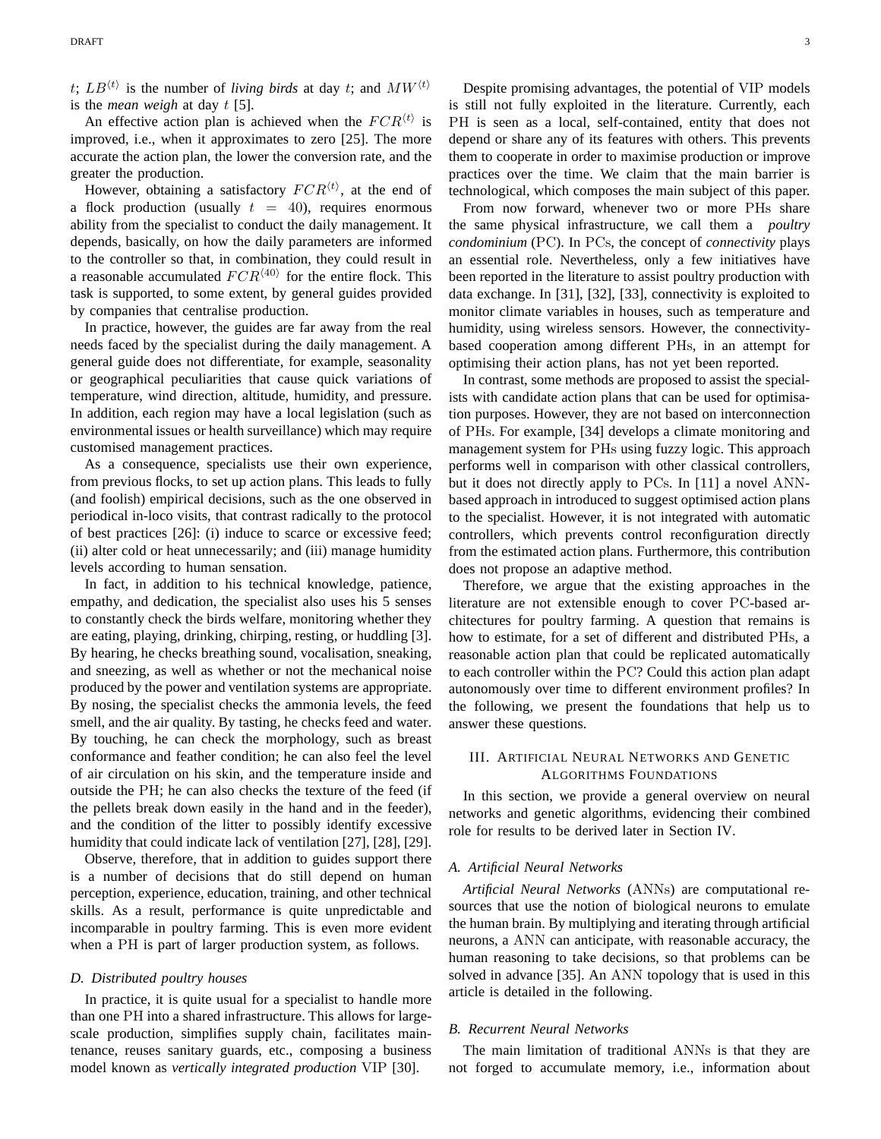$t$ ;  $LB^{(t)}$  is the number of *living birds* at day t; and  $MW^{(t)}$ is the *mean weigh* at day t [5].

An effective action plan is achieved when the  $FCR<sup>{t}</sup>$  is improved, i.e., when it approximates to zero [25]. The more accurate the action plan, the lower the conversion rate, and the greater the production.

However, obtaining a satisfactory  $FCR<sup>{\langle t \rangle}</sup>$ , at the end of a flock production (usually  $t = 40$ ), requires enormous ability from the specialist to conduct the daily management. It depends, basically, on how the daily parameters are informed to the controller so that, in combination, they could result in a reasonable accumulated  $FCR^{\langle 40 \rangle}$  for the entire flock. This task is supported, to some extent, by general guides provided by companies that centralise production.

In practice, however, the guides are far away from the real needs faced by the specialist during the daily management. A general guide does not differentiate, for example, seasonality or geographical peculiarities that cause quick variations of temperature, wind direction, altitude, humidity, and pressure. In addition, each region may have a local legislation (such as environmental issues or health surveillance) which may require customised management practices.

As a consequence, specialists use their own experience, from previous flocks, to set up action plans. This leads to fully (and foolish) empirical decisions, such as the one observed in periodical in-loco visits, that contrast radically to the protocol of best practices [26]: (i) induce to scarce or excessive feed; (ii) alter cold or heat unnecessarily; and (iii) manage humidity levels according to human sensation.

In fact, in addition to his technical knowledge, patience, empathy, and dedication, the specialist also uses his 5 senses to constantly check the birds welfare, monitoring whether they are eating, playing, drinking, chirping, resting, or huddling [3]. By hearing, he checks breathing sound, vocalisation, sneaking, and sneezing, as well as whether or not the mechanical noise produced by the power and ventilation systems are appropriate. By nosing, the specialist checks the ammonia levels, the feed smell, and the air quality. By tasting, he checks feed and water. By touching, he can check the morphology, such as breast conformance and feather condition; he can also feel the level of air circulation on his skin, and the temperature inside and outside the PH; he can also checks the texture of the feed (if the pellets break down easily in the hand and in the feeder), and the condition of the litter to possibly identify excessive humidity that could indicate lack of ventilation [27], [28], [29].

Observe, therefore, that in addition to guides support there is a number of decisions that do still depend on human perception, experience, education, training, and other technical skills. As a result, performance is quite unpredictable and incomparable in poultry farming. This is even more evident when a PH is part of larger production system, as follows.

#### *D. Distributed poultry houses*

In practice, it is quite usual for a specialist to handle more than one PH into a shared infrastructure. This allows for largescale production, simplifies supply chain, facilitates maintenance, reuses sanitary guards, etc., composing a business model known as *vertically integrated production* VIP [30].

Despite promising advantages, the potential of VIP models is still not fully exploited in the literature. Currently, each PH is seen as a local, self-contained, entity that does not depend or share any of its features with others. This prevents them to cooperate in order to maximise production or improve practices over the time. We claim that the main barrier is technological, which composes the main subject of this paper.

From now forward, whenever two or more PHs share the same physical infrastructure, we call them a *poultry condominium* (PC). In PCs, the concept of *connectivity* plays an essential role. Nevertheless, only a few initiatives have been reported in the literature to assist poultry production with data exchange. In [31], [32], [33], connectivity is exploited to monitor climate variables in houses, such as temperature and humidity, using wireless sensors. However, the connectivitybased cooperation among different PHs, in an attempt for optimising their action plans, has not yet been reported.

In contrast, some methods are proposed to assist the specialists with candidate action plans that can be used for optimisation purposes. However, they are not based on interconnection of PHs. For example, [34] develops a climate monitoring and management system for PHs using fuzzy logic. This approach performs well in comparison with other classical controllers, but it does not directly apply to PCs. In [11] a novel ANNbased approach in introduced to suggest optimised action plans to the specialist. However, it is not integrated with automatic controllers, which prevents control reconfiguration directly from the estimated action plans. Furthermore, this contribution does not propose an adaptive method.

Therefore, we argue that the existing approaches in the literature are not extensible enough to cover PC-based architectures for poultry farming. A question that remains is how to estimate, for a set of different and distributed PHs, a reasonable action plan that could be replicated automatically to each controller within the PC? Could this action plan adapt autonomously over time to different environment profiles? In the following, we present the foundations that help us to answer these questions.

# III. ARTIFICIAL NEURAL NETWORKS AND GENETIC ALGORITHMS FOUNDATIONS

In this section, we provide a general overview on neural networks and genetic algorithms, evidencing their combined role for results to be derived later in Section IV.

# *A. Artificial Neural Networks*

*Artificial Neural Networks* (ANNs) are computational resources that use the notion of biological neurons to emulate the human brain. By multiplying and iterating through artificial neurons, a ANN can anticipate, with reasonable accuracy, the human reasoning to take decisions, so that problems can be solved in advance [35]. An ANN topology that is used in this article is detailed in the following.

# *B. Recurrent Neural Networks*

The main limitation of traditional ANNs is that they are not forged to accumulate memory, i.e., information about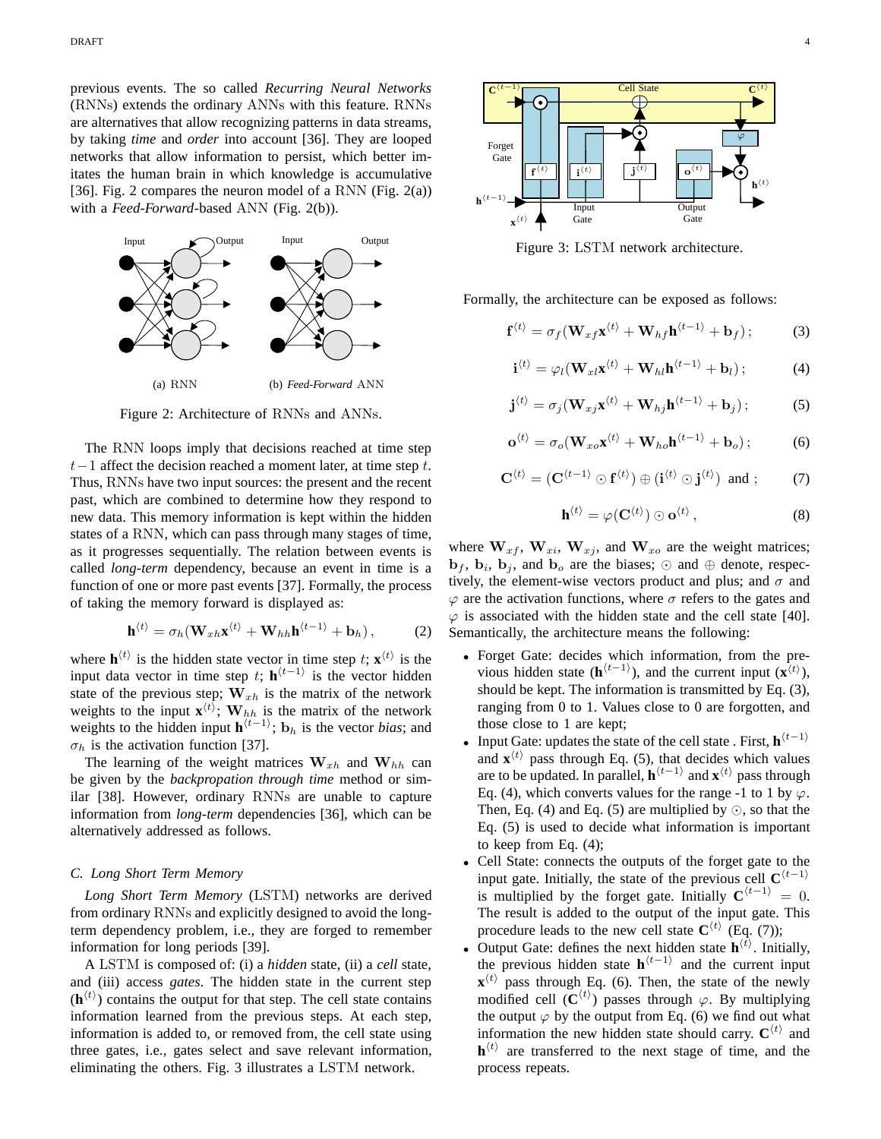previous events. The so called *Recurring Neural Networks* (RNNs) extends the ordinary ANNs with this feature. RNNs are alternatives that allow recognizing patterns in data streams, by taking *time* and *order* into account [36]. They are looped networks that allow information to persist, which better imitates the human brain in which knowledge is accumulative [36]. Fig. 2 compares the neuron model of a RNN (Fig.  $2(a)$ ) with a *Feed-Forward*-based ANN (Fig. 2(b)).



Figure 2: Architecture of RNNs and ANNs.

The RNN loops imply that decisions reached at time step  $t-1$  affect the decision reached a moment later, at time step t. Thus, RNNs have two input sources: the present and the recent past, which are combined to determine how they respond to new data. This memory information is kept within the hidden states of a RNN, which can pass through many stages of time, as it progresses sequentially. The relation between events is called *long-term* dependency, because an event in time is a function of one or more past events [37]. Formally, the process of taking the memory forward is displayed as:

$$
\mathbf{h}^{\langle t \rangle} = \sigma_h(\mathbf{W}_{xh}\mathbf{x}^{\langle t \rangle} + \mathbf{W}_{hh}\mathbf{h}^{\langle t-1 \rangle} + \mathbf{b}_h), \quad (2)
$$

where  $\mathbf{h}^{\langle t \rangle}$  is the hidden state vector in time step t;  $\mathbf{x}^{\langle t \rangle}$  is the input data vector in time step t;  $h^{(t-1)}$  is the vector hidden state of the previous step;  $W_{xh}$  is the matrix of the network weights to the input  $\mathbf{x}^{\langle t \rangle}$ ;  $\mathbf{W}_{hh}$  is the matrix of the network weights to the hidden input  $\mathbf{h}^{(t-1)}$ ;  $\mathbf{b}_h$  is the vector *bias*; and  $\sigma_h$  is the activation function [37].

The learning of the weight matrices  $W_{xh}$  and  $W_{hh}$  can be given by the *backpropation through time* method or similar [38]. However, ordinary RNNs are unable to capture information from *long-term* dependencies [36], which can be alternatively addressed as follows.

# *C. Long Short Term Memory*

*Long Short Term Memory* (LSTM) networks are derived from ordinary RNNs and explicitly designed to avoid the longterm dependency problem, i.e., they are forged to remember information for long periods [39].

A LSTM is composed of: (i) a *hidden* state, (ii) a *cell* state, and (iii) access *gates*. The hidden state in the current step  $(h<sup>{t}</sup>)$  contains the output for that step. The cell state contains information learned from the previous steps. At each step, information is added to, or removed from, the cell state using three gates, i.e., gates select and save relevant information, eliminating the others. Fig. 3 illustrates a LSTM network.



Figure 3: LSTM network architecture.

Formally, the architecture can be exposed as follows:

$$
\mathbf{f}^{\langle t \rangle} = \sigma_f(\mathbf{W}_{xf}\mathbf{x}^{\langle t \rangle} + \mathbf{W}_{hf}\mathbf{h}^{\langle t-1 \rangle} + \mathbf{b}_f); \tag{3}
$$

$$
\mathbf{i}^{\langle t \rangle} = \varphi_l(\mathbf{W}_{xl}\mathbf{x}^{\langle t \rangle} + \mathbf{W}_{hl}\mathbf{h}^{\langle t-1 \rangle} + \mathbf{b}_l); \tag{4}
$$

$$
\mathbf{j}^{(t)} = \sigma_j(\mathbf{W}_{xj}\mathbf{x}^{(t)} + \mathbf{W}_{hj}\mathbf{h}^{(t-1)} + \mathbf{b}_j); \tag{5}
$$

$$
\mathbf{o}^{\langle t \rangle} = \sigma_o(\mathbf{W}_{xo}\mathbf{x}^{\langle t \rangle} + \mathbf{W}_{ho}\mathbf{h}^{\langle t-1 \rangle} + \mathbf{b}_o); \tag{6}
$$

$$
\mathbf{C}^{\langle t \rangle} = (\mathbf{C}^{\langle t-1 \rangle} \odot \mathbf{f}^{\langle t \rangle}) \oplus (\mathbf{i}^{\langle t \rangle} \odot \mathbf{j}^{\langle t \rangle}) \text{ and } ; \tag{7}
$$

$$
\mathbf{h}^{\langle t \rangle} = \varphi(\mathbf{C}^{\langle t \rangle}) \odot \mathbf{o}^{\langle t \rangle}, \tag{8}
$$

where  $W_{xf}$ ,  $W_{xi}$ ,  $W_{xi}$ , and  $W_{xo}$  are the weight matrices;  $\mathbf{b}_f$ ,  $\mathbf{b}_i$ ,  $\mathbf{b}_j$ , and  $\mathbf{b}_o$  are the biases;  $\odot$  and  $\oplus$  denote, respectively, the element-wise vectors product and plus; and  $\sigma$  and  $\varphi$  are the activation functions, where  $\sigma$  refers to the gates and  $\varphi$  is associated with the hidden state and the cell state [40]. Semantically, the architecture means the following:

- Forget Gate: decides which information, from the previous hidden state ( $\mathbf{h}^{\langle t-1 \rangle}$ ), and the current input ( $\mathbf{x}^{\langle t \rangle}$ ), should be kept. The information is transmitted by Eq. (3), ranging from 0 to 1. Values close to 0 are forgotten, and those close to 1 are kept;
- Input Gate: updates the state of the cell state . First,  $\mathbf{h}^{(t-1)}$ and  $\mathbf{x}^{(t)}$  pass through Eq. (5), that decides which values are to be updated. In parallel,  $\mathbf{h}^{\langle t-1 \rangle}$  and  $\mathbf{x}^{\langle t \rangle}$  pass through Eq. (4), which converts values for the range -1 to 1 by  $\varphi$ . Then, Eq. (4) and Eq. (5) are multiplied by  $\odot$ , so that the Eq. (5) is used to decide what information is important to keep from Eq. (4);
- Cell State: connects the outputs of the forget gate to the input gate. Initially, the state of the previous cell  $\mathbf{C}^{\langle t-1 \rangle}$ is multiplied by the forget gate. Initially  $C^{(t-1)} = 0$ . The result is added to the output of the input gate. This procedure leads to the new cell state  $\mathbf{C}^{\langle t \rangle}$  (Eq. (7));
- Output Gate: defines the next hidden state  $\mathbf{h}^{\langle t \rangle}$ . Initially, the previous hidden state  $h^{(t-1)}$  and the current input  $\mathbf{x}^{\langle t \rangle}$  pass through Eq. (6). Then, the state of the newly modified cell  $(C^{(t)})$  passes through  $\varphi$ . By multiplying the output  $\varphi$  by the output from Eq. (6) we find out what information the new hidden state should carry.  $\mathbf{C}^{\langle t \rangle}$  and  $\mathbf{h}^{\langle t \rangle}$  are transferred to the next stage of time, and the process repeats.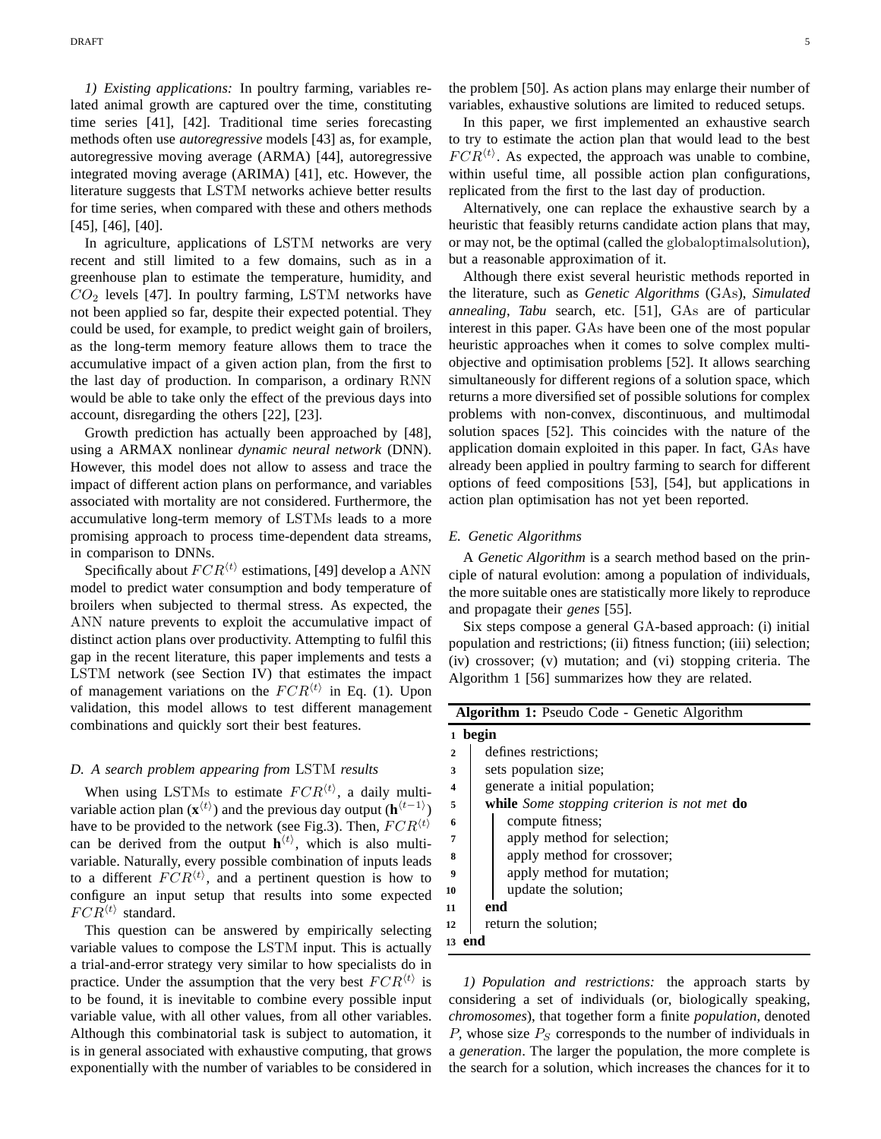*1) Existing applications:* In poultry farming, variables related animal growth are captured over the time, constituting time series [41], [42]. Traditional time series forecasting methods often use *autoregressive* models [43] as, for example, autoregressive moving average (ARMA) [44], autoregressive integrated moving average (ARIMA) [41], etc. However, the literature suggests that LSTM networks achieve better results for time series, when compared with these and others methods [45], [46], [40].

In agriculture, applications of LSTM networks are very recent and still limited to a few domains, such as in a greenhouse plan to estimate the temperature, humidity, and  $CO<sub>2</sub>$  levels [47]. In poultry farming, LSTM networks have not been applied so far, despite their expected potential. They could be used, for example, to predict weight gain of broilers, as the long-term memory feature allows them to trace the accumulative impact of a given action plan, from the first to the last day of production. In comparison, a ordinary RNN would be able to take only the effect of the previous days into account, disregarding the others [22], [23].

Growth prediction has actually been approached by [48], using a ARMAX nonlinear *dynamic neural network* (DNN). However, this model does not allow to assess and trace the impact of different action plans on performance, and variables associated with mortality are not considered. Furthermore, the accumulative long-term memory of LSTMs leads to a more promising approach to process time-dependent data streams, in comparison to DNNs.

Specifically about  $FCR^{\langle t \rangle}$  estimations, [49] develop a ANN model to predict water consumption and body temperature of broilers when subjected to thermal stress. As expected, the ANN nature prevents to exploit the accumulative impact of distinct action plans over productivity. Attempting to fulfil this gap in the recent literature, this paper implements and tests a LSTM network (see Section IV) that estimates the impact of management variations on the  $FCR<sup>{t}</sup>$  in Eq. (1). Upon validation, this model allows to test different management combinations and quickly sort their best features.

## *D. A search problem appearing from* LSTM *results*

When using LSTMs to estimate  $FCR^{\langle t \rangle}$ , a daily multivariable action plan ( $\mathbf{x}^{(t)}$ ) and the previous day output ( $\mathbf{h}^{(t-1)}$ ) have to be provided to the network (see Fig.3). Then,  $FCR^{\langle t \rangle}$ can be derived from the output  $h^{(t)}$ , which is also multivariable. Naturally, every possible combination of inputs leads to a different  $FCR<sup>{t}</sup>$ , and a pertinent question is how to configure an input setup that results into some expected  $FCR^{\langle t \rangle}$  standard.

This question can be answered by empirically selecting variable values to compose the LSTM input. This is actually a trial-and-error strategy very similar to how specialists do in practice. Under the assumption that the very best  $FCR^{\langle t \rangle}$  is to be found, it is inevitable to combine every possible input variable value, with all other values, from all other variables. Although this combinatorial task is subject to automation, it is in general associated with exhaustive computing, that grows exponentially with the number of variables to be considered in

the problem [50]. As action plans may enlarge their number of variables, exhaustive solutions are limited to reduced setups.

In this paper, we first implemented an exhaustive search to try to estimate the action plan that would lead to the best  $FCR^{\langle t \rangle}$ . As expected, the approach was unable to combine, within useful time, all possible action plan configurations, replicated from the first to the last day of production.

Alternatively, one can replace the exhaustive search by a heuristic that feasibly returns candidate action plans that may, or may not, be the optimal (called the globaloptimalsolution), but a reasonable approximation of it.

Although there exist several heuristic methods reported in the literature, such as *Genetic Algorithms* (GAs), *Simulated annealing*, *Tabu* search, etc. [51], GAs are of particular interest in this paper. GAs have been one of the most popular heuristic approaches when it comes to solve complex multiobjective and optimisation problems [52]. It allows searching simultaneously for different regions of a solution space, which returns a more diversified set of possible solutions for complex problems with non-convex, discontinuous, and multimodal solution spaces [52]. This coincides with the nature of the application domain exploited in this paper. In fact, GAs have already been applied in poultry farming to search for different options of feed compositions [53], [54], but applications in action plan optimisation has not yet been reported.

# *E. Genetic Algorithms*

A *Genetic Algorithm* is a search method based on the principle of natural evolution: among a population of individuals, the more suitable ones are statistically more likely to reproduce and propagate their *genes* [55].

Six steps compose a general GA-based approach: (i) initial population and restrictions; (ii) fitness function; (iii) selection; (iv) crossover; (v) mutation; and (vi) stopping criteria. The Algorithm 1 [56] summarizes how they are related.

| <b>Algorithm 1:</b> Pseudo Code - Genetic Algorithm |                                                           |  |  |  |  |  |
|-----------------------------------------------------|-----------------------------------------------------------|--|--|--|--|--|
| begin                                               |                                                           |  |  |  |  |  |
| $\mathbf{2}$                                        | defines restrictions:                                     |  |  |  |  |  |
| 3                                                   | sets population size;                                     |  |  |  |  |  |
| $\overline{\mathbf{4}}$                             | generate a initial population;                            |  |  |  |  |  |
| 5                                                   | <b>while</b> Some stopping criterion is not met <b>do</b> |  |  |  |  |  |
| 6                                                   | compute fitness;                                          |  |  |  |  |  |
| 7                                                   | apply method for selection;                               |  |  |  |  |  |
| 8                                                   | apply method for crossover;                               |  |  |  |  |  |
| 9                                                   | apply method for mutation;                                |  |  |  |  |  |
| 10                                                  | update the solution;                                      |  |  |  |  |  |
| 11                                                  | end                                                       |  |  |  |  |  |
| 12                                                  | return the solution;                                      |  |  |  |  |  |
| 13 end                                              |                                                           |  |  |  |  |  |

*1) Population and restrictions:* the approach starts by considering a set of individuals (or, biologically speaking, *chromosomes*), that together form a finite *population*, denoted P, whose size  $P<sub>S</sub>$  corresponds to the number of individuals in a *generation*. The larger the population, the more complete is the search for a solution, which increases the chances for it to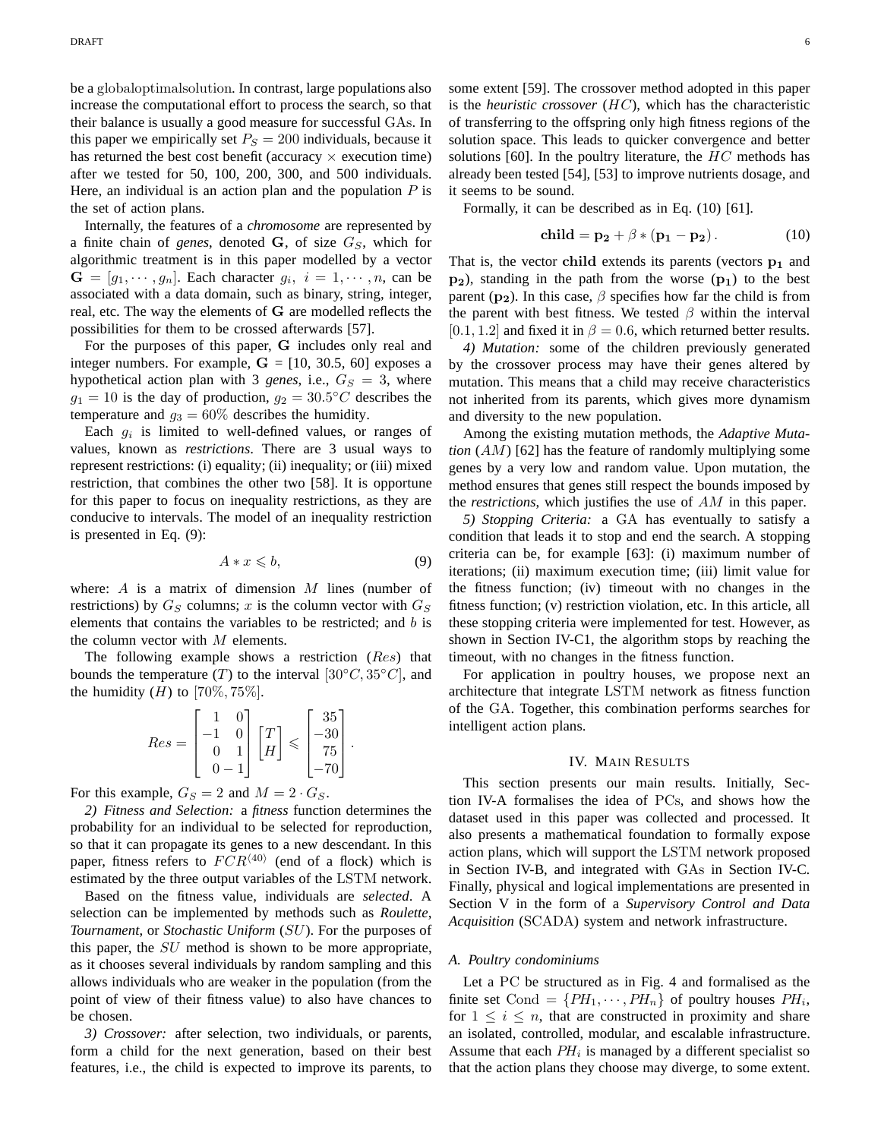be a globaloptimalsolution. In contrast, large populations also increase the computational effort to process the search, so that their balance is usually a good measure for successful GAs. In this paper we empirically set  $P<sub>S</sub> = 200$  individuals, because it has returned the best cost benefit (accuracy  $\times$  execution time) after we tested for 50, 100, 200, 300, and 500 individuals. Here, an individual is an action plan and the population  $P$  is the set of action plans.

Internally, the features of a *chromosome* are represented by a finite chain of *genes*, denoted  $\mathbf{G}$ , of size  $G_S$ , which for algorithmic treatment is in this paper modelled by a vector  $G = [g_1, \dots, g_n]$ . Each character  $g_i$ ,  $i = 1, \dots, n$ , can be associated with a data domain, such as binary, string, integer, real, etc. The way the elements of G are modelled reflects the possibilities for them to be crossed afterwards [57].

For the purposes of this paper, G includes only real and integer numbers. For example,  $G = [10, 30.5, 60]$  exposes a hypothetical action plan with 3 *genes*, i.e.,  $G_S = 3$ , where  $g_1 = 10$  is the day of production,  $g_2 = 30.5^{\circ}C$  describes the temperature and  $g_3 = 60\%$  describes the humidity.

Each  $g_i$  is limited to well-defined values, or ranges of values, known as *restrictions*. There are 3 usual ways to represent restrictions: (i) equality; (ii) inequality; or (iii) mixed restriction, that combines the other two [58]. It is opportune for this paper to focus on inequality restrictions, as they are conducive to intervals. The model of an inequality restriction is presented in Eq. (9):

$$
A * x \leqslant b,\tag{9}
$$

where:  $A$  is a matrix of dimension  $M$  lines (number of restrictions) by  $G_S$  columns; x is the column vector with  $G_S$ elements that contains the variables to be restricted; and  $b$  is the column vector with  $M$  elements.

The following example shows a restriction (Res) that bounds the temperature (T) to the interval [30°C, 35°C], and the humidity  $(H)$  to  $[70\%, 75\%]$ .

$$
Res = \begin{bmatrix} 1 & 0 \\ -1 & 0 \\ 0 & 1 \\ 0 & -1 \end{bmatrix} \begin{bmatrix} T \\ H \end{bmatrix} \leqslant \begin{bmatrix} 35 \\ -30 \\ 75 \\ -70 \end{bmatrix}.
$$

For this example,  $G_S = 2$  and  $M = 2 \cdot G_S$ .

*2) Fitness and Selection:* a *fitness* function determines the probability for an individual to be selected for reproduction, so that it can propagate its genes to a new descendant. In this paper, fitness refers to  $FCR^{\langle 40 \rangle}$  (end of a flock) which is estimated by the three output variables of the LSTM network.

Based on the fitness value, individuals are *selected*. A selection can be implemented by methods such as *Roulette*, *Tournament*, or *Stochastic Uniform* (SU). For the purposes of this paper, the  $SU$  method is shown to be more appropriate, as it chooses several individuals by random sampling and this allows individuals who are weaker in the population (from the point of view of their fitness value) to also have chances to be chosen.

*3) Crossover:* after selection, two individuals, or parents, form a child for the next generation, based on their best features, i.e., the child is expected to improve its parents, to some extent [59]. The crossover method adopted in this paper is the *heuristic crossover* (HC), which has the characteristic of transferring to the offspring only high fitness regions of the solution space. This leads to quicker convergence and better solutions [60]. In the poultry literature, the  $HC$  methods has already been tested [54], [53] to improve nutrients dosage, and it seems to be sound.

Formally, it can be described as in Eq. (10) [61].

$$
\mathbf{child} = \mathbf{p_2} + \beta * (\mathbf{p_1} - \mathbf{p_2}).\tag{10}
$$

That is, the vector child extends its parents (vectors  $p_1$  and  $p_2$ ), standing in the path from the worse  $(p_1)$  to the best parent ( $p_2$ ). In this case,  $\beta$  specifies how far the child is from the parent with best fitness. We tested  $\beta$  within the interval [0.1, 1.2] and fixed it in  $\beta = 0.6$ , which returned better results.

*4) Mutation:* some of the children previously generated by the crossover process may have their genes altered by mutation. This means that a child may receive characteristics not inherited from its parents, which gives more dynamism and diversity to the new population.

Among the existing mutation methods, the *Adaptive Mutation* (AM) [62] has the feature of randomly multiplying some genes by a very low and random value. Upon mutation, the method ensures that genes still respect the bounds imposed by the *restrictions*, which justifies the use of AM in this paper.

*5) Stopping Criteria:* a GA has eventually to satisfy a condition that leads it to stop and end the search. A stopping criteria can be, for example [63]: (i) maximum number of iterations; (ii) maximum execution time; (iii) limit value for the fitness function; (iv) timeout with no changes in the fitness function; (v) restriction violation, etc. In this article, all these stopping criteria were implemented for test. However, as shown in Section IV-C1, the algorithm stops by reaching the timeout, with no changes in the fitness function.

For application in poultry houses, we propose next an architecture that integrate LSTM network as fitness function of the GA. Together, this combination performs searches for intelligent action plans.

#### IV. MAIN RESULTS

This section presents our main results. Initially, Section IV-A formalises the idea of PCs, and shows how the dataset used in this paper was collected and processed. It also presents a mathematical foundation to formally expose action plans, which will support the LSTM network proposed in Section IV-B, and integrated with GAs in Section IV-C. Finally, physical and logical implementations are presented in Section V in the form of a *Supervisory Control and Data Acquisition* (SCADA) system and network infrastructure.

## *A. Poultry condominiums*

Let a PC be structured as in Fig. 4 and formalised as the finite set Cond =  $\{PH_1, \cdots, PH_n\}$  of poultry houses  $PH_i$ , for  $1 \leq i \leq n$ , that are constructed in proximity and share an isolated, controlled, modular, and escalable infrastructure. Assume that each  $PH_i$  is managed by a different specialist so that the action plans they choose may diverge, to some extent.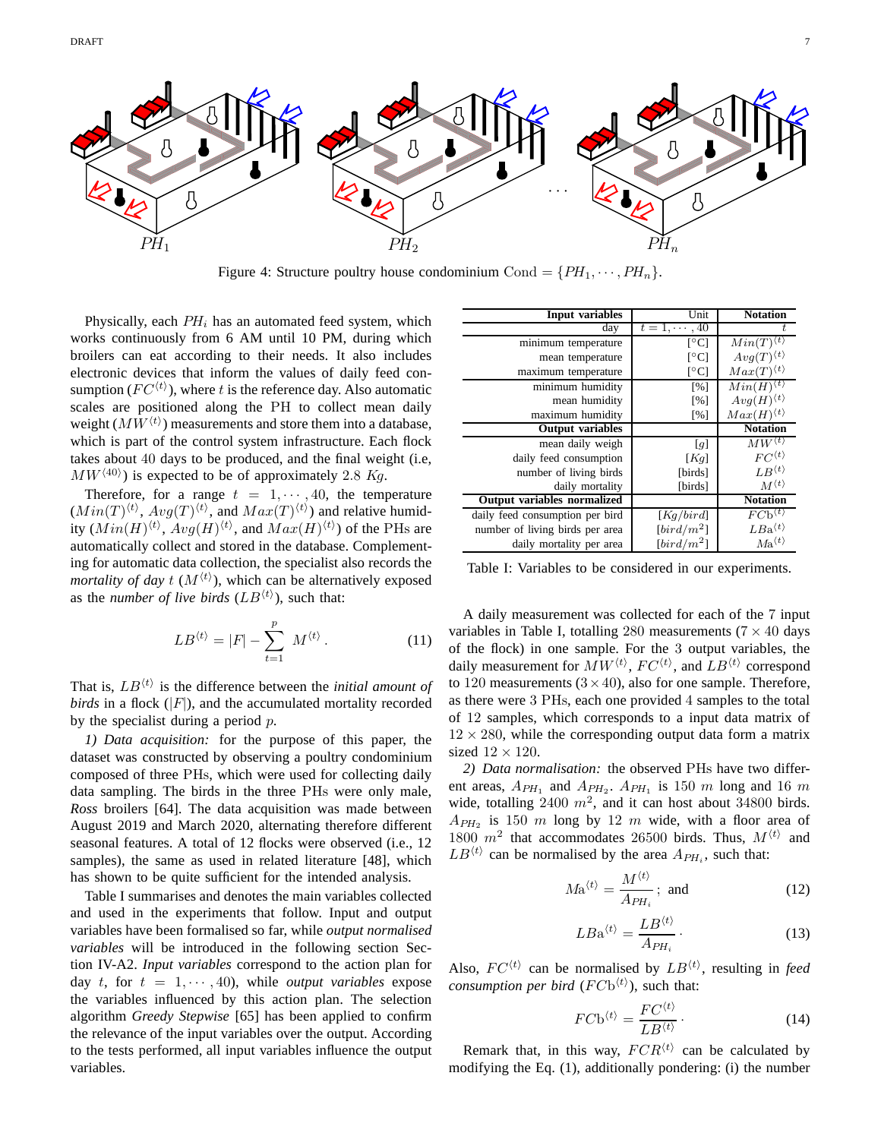

Figure 4: Structure poultry house condominium Cond =  $\{PH_1, \dots, PH_n\}$ .

Physically, each  $PH_i$  has an automated feed system, which works continuously from 6 AM until 10 PM, during which broilers can eat according to their needs. It also includes electronic devices that inform the values of daily feed consumption ( $FC<sup>{t}</sup>$ ), where t is the reference day. Also automatic scales are positioned along the PH to collect mean daily weight  $(MW^{\langle t \rangle})$  measurements and store them into a database, which is part of the control system infrastructure. Each flock takes about 40 days to be produced, and the final weight (i.e,  $MW^{(40)}$ ) is expected to be of approximately 2.8 Kg.

Therefore, for a range  $t = 1, \dots, 40$ , the temperature  $(Min(T)^{\langle t \rangle}, Avg(T)^{\langle t \rangle})$  and  $Max(T)^{\langle t \rangle})$  and relative humidity  $(Min(H)^{\langle t \rangle}, Avg(H)^{\langle t \rangle},$  and  $Max(H)^{\langle t \rangle})$  of the PHs are automatically collect and stored in the database. Complementing for automatic data collection, the specialist also records the *mortality of day t*  $(M<sup>{t}</sup>)$ , which can be alternatively exposed as the *number of live birds*  $(LB^{(t)})$ , such that:

$$
LB^{\langle t \rangle} = |F| - \sum_{t=1}^{p} M^{\langle t \rangle}.
$$
 (11)

That is,  $LB<sup>{\langle t \rangle}</sup>$  is the difference between the *initial amount of birds* in a flock  $(|F|)$ , and the accumulated mortality recorded by the specialist during a period  $p$ .

*1) Data acquisition:* for the purpose of this paper, the dataset was constructed by observing a poultry condominium composed of three PHs, which were used for collecting daily data sampling. The birds in the three PHs were only male, *Ross* broilers [64]. The data acquisition was made between August 2019 and March 2020, alternating therefore different seasonal features. A total of 12 flocks were observed (i.e., 12 samples), the same as used in related literature [48], which has shown to be quite sufficient for the intended analysis.

Table I summarises and denotes the main variables collected and used in the experiments that follow. Input and output variables have been formalised so far, while *output normalised variables* will be introduced in the following section Section IV-A2. *Input variables* correspond to the action plan for day t, for  $t = 1, \dots, 40$ , while *output variables* expose the variables influenced by this action plan. The selection algorithm *Greedy Stepwise* [65] has been applied to confirm the relevance of the input variables over the output. According to the tests performed, all input variables influence the output variables.

| Input variables                    | Unit                     | <b>Notation</b>                         |
|------------------------------------|--------------------------|-----------------------------------------|
|                                    |                          |                                         |
| day                                | $t = 1, \cdots, 40$      | ŧ                                       |
| minimum temperature                | $\lceil$ <sup>o</sup> C] | $Min(T)^{\langle t \rangle}$            |
| mean temperature                   | $\lceil$ °C              | $Avg(T)^{\langle t \rangle}$            |
| maximum temperature                | $\lceil$ °Cl             | $Max(T)^{\langle t \rangle}$            |
| minimum humidity                   | [%]                      | $Min(\overline{H)^{\langle t \rangle}}$ |
| mean humidity                      | [%]                      | $Avg(H)^{\langle t \rangle}$            |
| maximum humidity                   | [%]                      | $Max(H)^{\langle t \rangle}$            |
| <b>Output variables</b>            |                          | <b>Notation</b>                         |
| mean daily weigh                   | [g]                      | $MW^{\langle t \rangle}$                |
| daily feed consumption             | [Kq]                     | $FC^{\langle t \rangle}$                |
| number of living birds             | [birds]                  | $LR^{\langle t \rangle}$                |
| daily mortality                    | [birds]                  | $M^{\langle t \rangle}$                 |
| <b>Output variables normalized</b> |                          | <b>Notation</b>                         |
| daily feed consumption per bird    | [Kq/bird]                | $FCb^{\langle t \rangle}$               |
| number of living birds per area    | $[bird/m^2]$             | $LBa^{\langle t \rangle}$               |
| daily mortality per area           | $\lceil bird/m^2\rceil$  | $Ma^{\langle t \rangle}$                |

Table I: Variables to be considered in our experiments.

A daily measurement was collected for each of the 7 input variables in Table I, totalling 280 measurements ( $7 \times 40$  days of the flock) in one sample. For the 3 output variables, the daily measurement for  $MW^{\langle t \rangle}$ ,  $FC^{\langle t \rangle}$ , and  $LB^{\langle t \rangle}$  correspond to 120 measurements  $(3 \times 40)$ , also for one sample. Therefore, as there were 3 PHs, each one provided 4 samples to the total of 12 samples, which corresponds to a input data matrix of  $12 \times 280$ , while the corresponding output data form a matrix sized  $12 \times 120$ .

*2) Data normalisation:* the observed PHs have two different areas,  $A_{PH_1}$  and  $A_{PH_2}$ .  $A_{PH_1}$  is 150 m long and 16 m wide, totalling 2400  $m^2$ , and it can host about 34800 birds.  $A_{PH_2}$  is 150 m long by 12 m wide, with a floor area of 1800  $m^2$  that accommodates 26500 birds. Thus,  $M^{\langle t \rangle}$  and  $LB^{\langle t \rangle}$  can be normalised by the area  $A_{PH_i}$ , such that:

$$
M\mathbf{a}^{\langle t\rangle} = \frac{M^{\langle t\rangle}}{A_{PH_i}}; \text{ and } (12)
$$

$$
LBa^{\langle t \rangle} = \frac{LB^{\langle t \rangle}}{A_{PH_i}} \,. \tag{13}
$$

Also,  $FC^{\langle t \rangle}$  can be normalised by  $LB^{\langle t \rangle}$ , resulting in *feed consumption per bird*  $(FCb^{(t)})$ , such that:

$$
FC\mathbf{b}^{\langle t\rangle} = \frac{FC^{\langle t\rangle}}{LB^{\langle t\rangle}}.
$$
 (14)

Remark that, in this way,  $FCR^{\langle t \rangle}$  can be calculated by modifying the Eq. (1), additionally pondering: (i) the number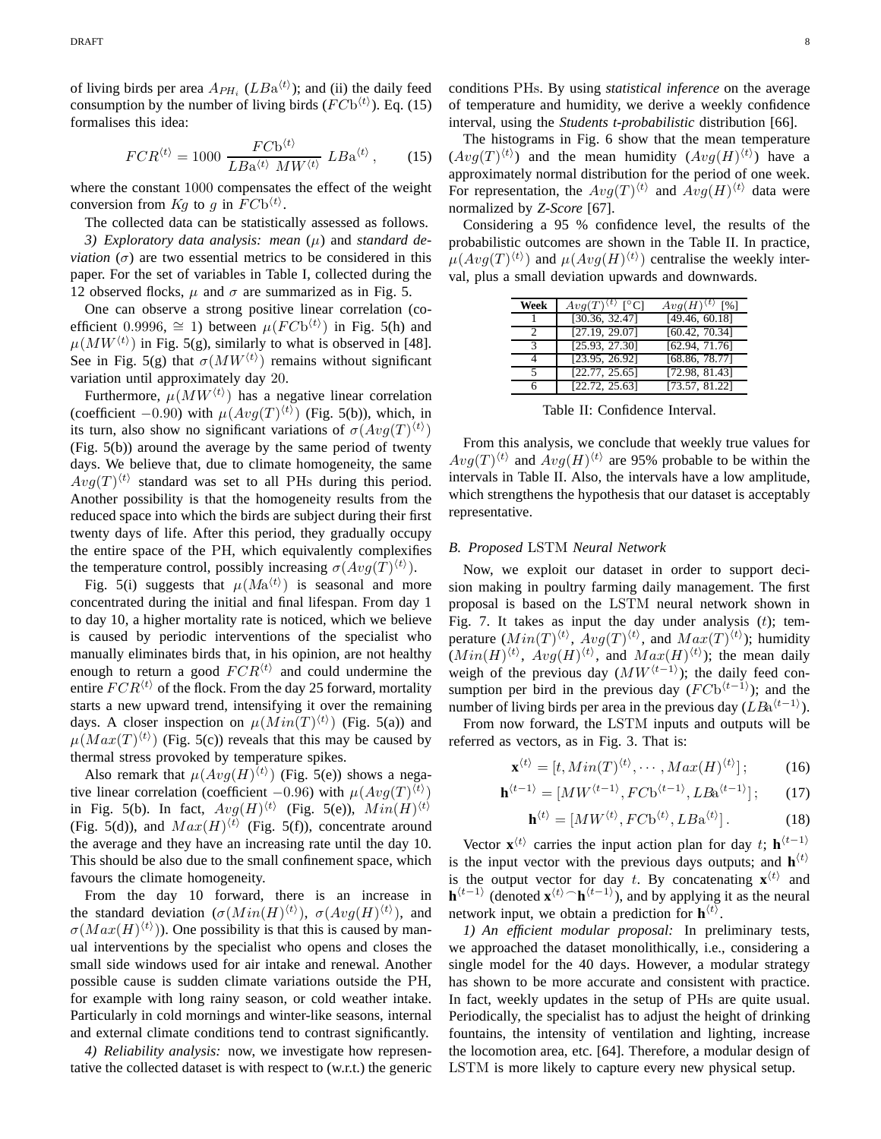of living birds per area  $A_{PH_i}$  ( $LBa^{(t)}$ ); and (ii) the daily feed consumption by the number of living birds  $(FCb^{(t)})$ . Eq. (15) formalises this idea:

$$
FCR^{\langle t \rangle} = 1000 \frac{FC\mathbf{b}^{\langle t \rangle}}{LB\mathbf{a}^{\langle t \rangle} \; MW^{\langle t \rangle}} \; LB\mathbf{a}^{\langle t \rangle} \,, \tag{15}
$$

where the constant 1000 compensates the effect of the weight conversion from  $Kg$  to g in  $FCb^{(t)}$ .

The collected data can be statistically assessed as follows.

3) Exploratory data analysis: mean  $(\mu)$  and *standard deviation*  $(\sigma)$  are two essential metrics to be considered in this paper. For the set of variables in Table I, collected during the 12 observed flocks,  $\mu$  and  $\sigma$  are summarized as in Fig. 5.

One can observe a strong positive linear correlation (coefficient 0.9996,  $\cong$  1) between  $\mu(FCb^{\langle t \rangle})$  in Fig. 5(h) and  $\mu(MW^{\langle t \rangle})$  in Fig. 5(g), similarly to what is observed in [48]. See in Fig. 5(g) that  $\sigma(MW^{\langle t \rangle})$  remains without significant variation until approximately day 20.

Furthermore,  $\mu(MW^{\langle t \rangle})$  has a negative linear correlation (coefficient  $-0.90$ ) with  $\mu(Avg(T)^{\langle t \rangle})$  (Fig. 5(b)), which, in its turn, also show no significant variations of  $\sigma(Avg(T)^{\langle t \rangle})$ (Fig. 5(b)) around the average by the same period of twenty days. We believe that, due to climate homogeneity, the same  $Avg(T)^{\langle t \rangle}$  standard was set to all PHs during this period. Another possibility is that the homogeneity results from the reduced space into which the birds are subject during their first twenty days of life. After this period, they gradually occupy the entire space of the PH, which equivalently complexifies the temperature control, possibly increasing  $\sigma(Avg(T)^{\langle t \rangle}).$ 

Fig. 5(i) suggests that  $\mu(Ma^{\langle t \rangle})$  is seasonal and more concentrated during the initial and final lifespan. From day 1 to day 10, a higher mortality rate is noticed, which we believe is caused by periodic interventions of the specialist who manually eliminates birds that, in his opinion, are not healthy enough to return a good  $FCR^{\langle t \rangle}$  and could undermine the entire  $FCR^{\langle t \rangle}$  of the flock. From the day 25 forward, mortality starts a new upward trend, intensifying it over the remaining days. A closer inspection on  $\mu(Min(T)^{\langle t \rangle})$  (Fig. 5(a)) and  $\mu(Max(T)^{\langle t \rangle})$  (Fig. 5(c)) reveals that this may be caused by thermal stress provoked by temperature spikes.

Also remark that  $\mu(Avg(H)^{\langle t \rangle})$  (Fig. 5(e)) shows a negative linear correlation (coefficient  $-0.96$ ) with  $\mu(Avg(T)^{\langle t \rangle})$ in Fig. 5(b). In fact,  $Avg(H)^{\langle t \rangle}$  (Fig. 5(e)),  $Min(H)^{\langle t \rangle}$ (Fig. 5(d)), and  $Max(H)^{\langle t \rangle}$  (Fig. 5(f)), concentrate around the average and they have an increasing rate until the day 10. This should be also due to the small confinement space, which favours the climate homogeneity.

From the day 10 forward, there is an increase in the standard deviation  $(\sigma(\text{Min}(H)^{\langle t \rangle}), \sigma(\text{Avg}(H)^{\langle t \rangle}),$  and  $\sigma(Max(H)^{\langle t \rangle})$ ). One possibility is that this is caused by manual interventions by the specialist who opens and closes the small side windows used for air intake and renewal. Another possible cause is sudden climate variations outside the PH, for example with long rainy season, or cold weather intake. Particularly in cold mornings and winter-like seasons, internal and external climate conditions tend to contrast significantly.

*4) Reliability analysis:* now, we investigate how representative the collected dataset is with respect to (w.r.t.) the generic conditions PHs. By using *statistical inference* on the average of temperature and humidity, we derive a weekly confidence interval, using the *Students t-probabilistic* distribution [66].

The histograms in Fig. 6 show that the mean temperature  $(Avg(T)^{\langle t \rangle})$  and the mean humidity  $(Avg(H)^{\langle t \rangle})$  have a approximately normal distribution for the period of one week. For representation, the  $Avg(T)^{\langle t \rangle}$  and  $Avg(H)^{\langle t \rangle}$  data were normalized by *Z-Score* [67].

Considering a 95 % confidence level, the results of the probabilistic outcomes are shown in the Table II. In practice,  $\mu(Avg(T)^{\langle t \rangle})$  and  $\mu(Avg(H)^{\langle t \rangle})$  centralise the weekly interval, plus a small deviation upwards and downwards.

| Week          | $\overline{Avg}(T)^{\langle t\rangle}$ [°C] | $Avg(H)^{\langle t \rangle}$ [%] |
|---------------|---------------------------------------------|----------------------------------|
|               | [30.36, 32.47]                              | [49.46, 60.18]                   |
| $\mathcal{P}$ | [27.19, 29.07]                              | [60.42, 70.34]                   |
| $\mathcal{R}$ | [25.93, 27.30]                              | [62.94, 71.76]                   |
| Δ             | [23.95, 26.92]                              | [68.86, 78.77]                   |
| 5             | [22.77, 25.65]                              | [72.98, 81.43]                   |
| 6             | [22.72, 25.63]                              | [73.57, 81.22]                   |

Table II: Confidence Interval.

From this analysis, we conclude that weekly true values for  $Avg(T)^{\langle t \rangle}$  and  $Avg(H)^{\langle t \rangle}$  are 95% probable to be within the intervals in Table II. Also, the intervals have a low amplitude, which strengthens the hypothesis that our dataset is acceptably representative.

# *B. Proposed* LSTM *Neural Network*

Now, we exploit our dataset in order to support decision making in poultry farming daily management. The first proposal is based on the LSTM neural network shown in Fig. 7. It takes as input the day under analysis  $(t)$ ; temperature  $(Min(T)^{\langle t \rangle}, Avg(T)^{\langle t \rangle}, and Max(T)^{\langle t \rangle});$  humidity  $(Min(H)^{\langle t \rangle}, Avg(H)^{\langle t \rangle}, and Max(H)^{\langle t \rangle});$  the mean daily weigh of the previous day  $(MW^{\langle t-1\rangle})$ ; the daily feed consumption per bird in the previous day  $(FCb^{(t-1)})$ ; and the number of living birds per area in the previous day ( $LBa^{(t-1)}$ ).

From now forward, the LSTM inputs and outputs will be referred as vectors, as in Fig. 3. That is:

$$
\mathbf{x}^{\langle t \rangle} = [t, Min(T)^{\langle t \rangle}, \cdots, Max(H)^{\langle t \rangle}]; \tag{16}
$$

$$
\mathbf{h}^{\langle t-1 \rangle} = [MW^{\langle t-1 \rangle}, FC\mathbf{b}^{\langle t-1 \rangle}, LB\mathbf{a}^{\langle t-1 \rangle}];\tag{17}
$$

$$
\mathbf{h}^{\langle t \rangle} = [MW^{\langle t \rangle}, FC\mathbf{b}^{\langle t \rangle}, LB\mathbf{a}^{\langle t \rangle}]. \tag{18}
$$

Vector  $\mathbf{x}^{(t)}$  carries the input action plan for day t;  $\mathbf{h}^{(t-1)}$ is the input vector with the previous days outputs; and  $h^{(t)}$ is the output vector for day t. By concatenating  $\mathbf{x}^{\langle t \rangle}$  and  $\mathbf{h}^{(t-1)}$  (denoted  $\mathbf{x}^{(t)} \cap \mathbf{h}^{(t-1)}$ ), and by applying it as the neural network input, we obtain a prediction for  $h^{(t)}$ .

*1) An efficient modular proposal:* In preliminary tests, we approached the dataset monolithically, i.e., considering a single model for the 40 days. However, a modular strategy has shown to be more accurate and consistent with practice. In fact, weekly updates in the setup of PHs are quite usual. Periodically, the specialist has to adjust the height of drinking fountains, the intensity of ventilation and lighting, increase the locomotion area, etc. [64]. Therefore, a modular design of LSTM is more likely to capture every new physical setup.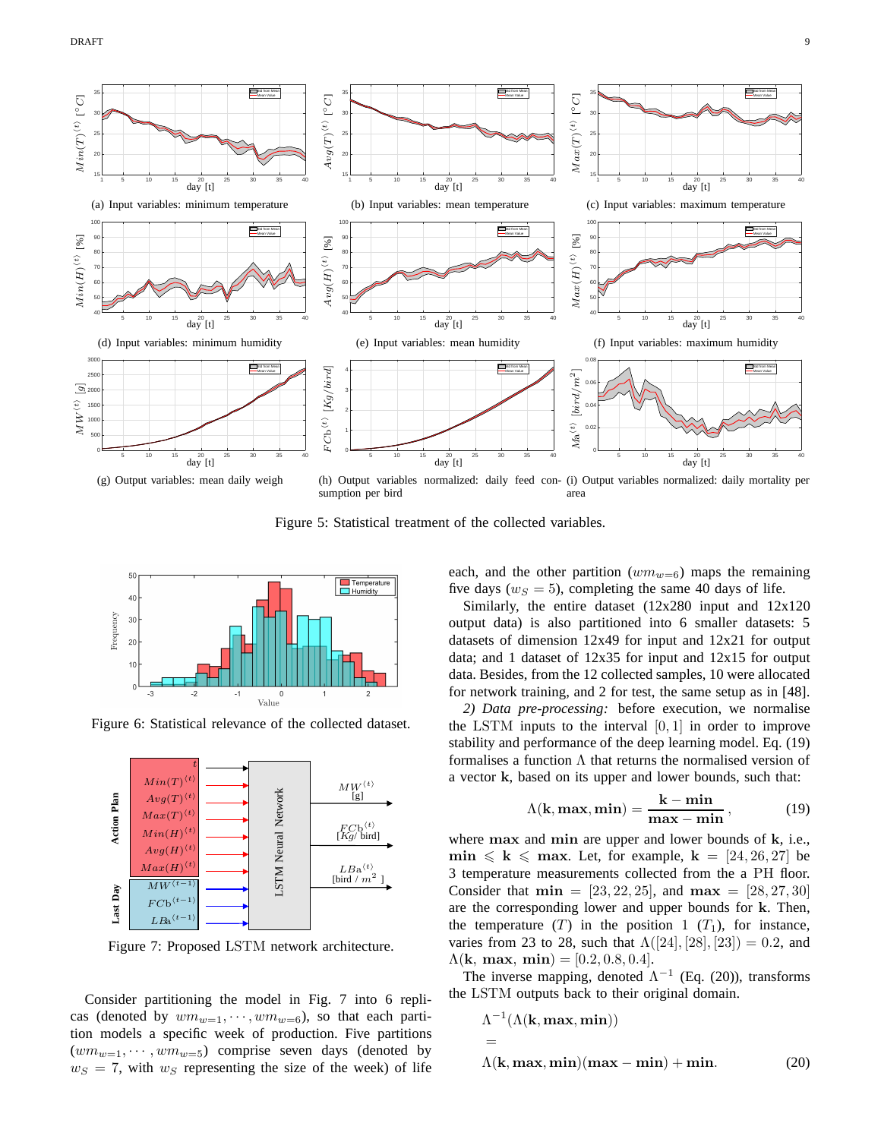

Sfrag replacements

Figure 5: Statistical treatment of the collected variables.



Figure 6: Statistical relevance of the collected dataset.



Figure 7: Proposed LSTM network architecture.

Consider partitioning the model in Fig. 7 into 6 replicas (denoted by  $wm_{w=1}, \dots, w m_{w=6}$ ), so that each partition models a specific week of production. Five partitions  $(wm_{w=1}, \dots, w_{w=5})$  comprise seven days (denoted by  $w_S = 7$ , with  $w_S$  representing the size of the week) of life each, and the other partition  $(wm_{w=6})$  maps the remaining five days ( $w_S = 5$ ), completing the same 40 days of life.

Similarly, the entire dataset (12x280 input and 12x120 output data) is also partitioned into 6 smaller datasets: 5 datasets of dimension 12x49 for input and 12x21 for output data; and 1 dataset of 12x35 for input and 12x15 for output data. Besides, from the 12 collected samples, 10 were allocated for network training, and 2 for test, the same setup as in [48].

*2) Data pre-processing:* before execution, we normalise the LSTM inputs to the interval  $[0, 1]$  in order to improve stability and performance of the deep learning model. Eq. (19) formalises a function  $\Lambda$  that returns the normalised version of a vector k, based on its upper and lower bounds, such that:

$$
\Lambda(k, \max, \min) = \frac{k - \min}{\max - \min},
$$
 (19)

where max and min are upper and lower bounds of k, i.e.,  $\min \le k \le \max$ . Let, for example,  $k = [24, 26, 27]$  be 3 temperature measurements collected from the a PH floor. Consider that  $\min = [23, 22, 25]$ , and  $\max = [28, 27, 30]$ are the corresponding lower and upper bounds for k. Then, the temperature  $(T)$  in the position 1  $(T_1)$ , for instance, varies from 23 to 28, such that  $\Lambda([24], [28], [23]) = 0.2$ , and  $\Lambda(k, \, \text{max}, \, \text{min}) = [0.2, 0.8, 0.4].$ 

The inverse mapping, denoted  $\Lambda^{-1}$  (Eq. (20)), transforms the LSTM outputs back to their original domain.

 $\Lambda^{-1}(\Lambda(\mathbf{k},\mathbf{max},\mathbf{min}))$ =  $\Lambda(\mathbf{k}, \mathbf{max}, \mathbf{min})(\mathbf{max} - \mathbf{min}) + \mathbf{min}.$  (20)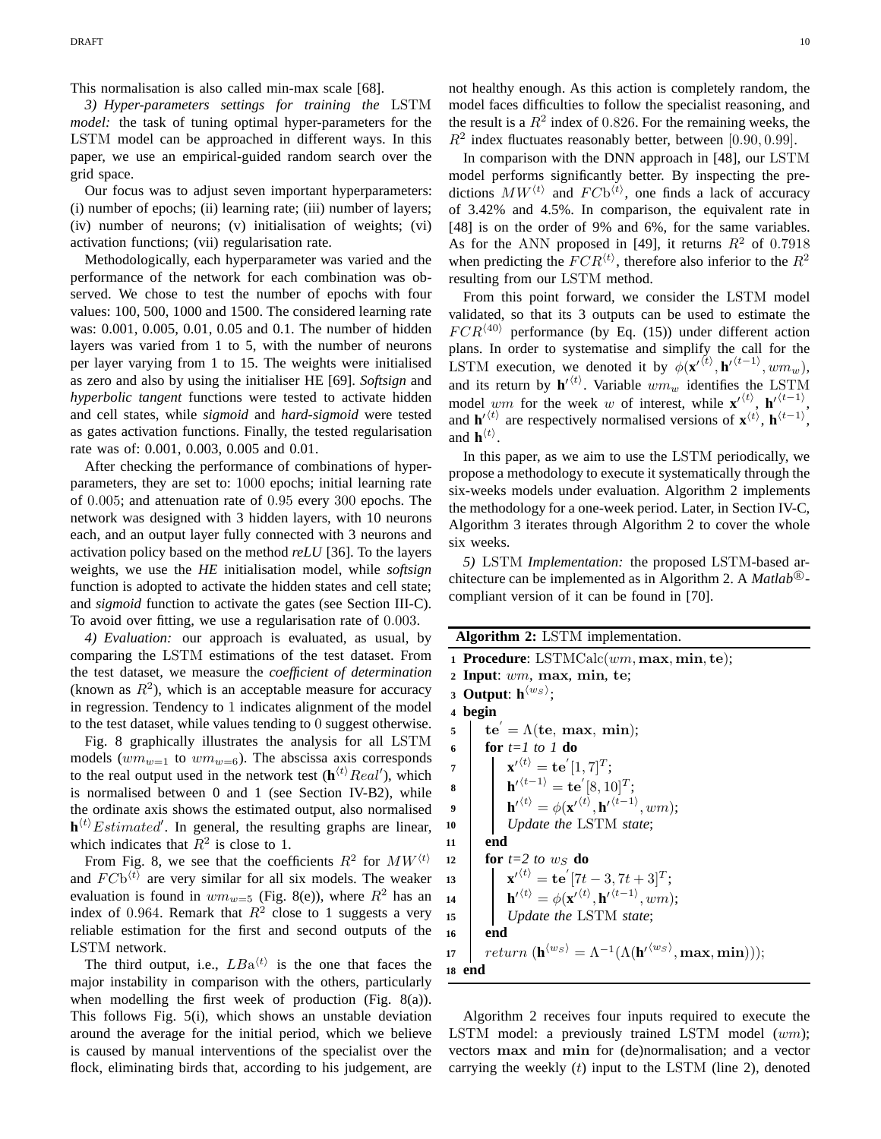This normalisation is also called min-max scale [68].

*3) Hyper-parameters settings for training the* LSTM *model:* the task of tuning optimal hyper-parameters for the LSTM model can be approached in different ways. In this paper, we use an empirical-guided random search over the grid space.

Our focus was to adjust seven important hyperparameters: (i) number of epochs; (ii) learning rate; (iii) number of layers; (iv) number of neurons; (v) initialisation of weights; (vi) activation functions; (vii) regularisation rate.

Methodologically, each hyperparameter was varied and the performance of the network for each combination was observed. We chose to test the number of epochs with four values: 100, 500, 1000 and 1500. The considered learning rate was: 0.001, 0.005, 0.01, 0.05 and 0.1. The number of hidden layers was varied from 1 to 5, with the number of neurons per layer varying from 1 to 15. The weights were initialised as zero and also by using the initialiser HE [69]. *Softsign* and *hyperbolic tangent* functions were tested to activate hidden and cell states, while *sigmoid* and *hard-sigmoid* were tested as gates activation functions. Finally, the tested regularisation rate was of: 0.001, 0.003, 0.005 and 0.01.

After checking the performance of combinations of hyperparameters, they are set to: 1000 epochs; initial learning rate of 0.005; and attenuation rate of 0.95 every 300 epochs. The network was designed with 3 hidden layers, with 10 neurons each, and an output layer fully connected with 3 neurons and activation policy based on the method *reLU* [36]. To the layers weights, we use the *HE* initialisation model, while *softsign* function is adopted to activate the hidden states and cell state; and *sigmoid* function to activate the gates (see Section III-C). To avoid over fitting, we use a regularisation rate of 0.003.

*4) Evaluation:* our approach is evaluated, as usual, by comparing the LSTM estimations of the test dataset. From the test dataset, we measure the *coefficient of determination* (known as  $R^2$ ), which is an acceptable measure for accuracy in regression. Tendency to 1 indicates alignment of the model to the test dataset, while values tending to 0 suggest otherwise.

Fig. 8 graphically illustrates the analysis for all LSTM models  $(wm_{w=1}$  to  $wm_{w=6})$ . The abscissa axis corresponds to the real output used in the network test  $(\mathbf{h}^{(t)}$ Real'), which is normalised between 0 and 1 (see Section IV-B2), while the ordinate axis shows the estimated output, also normalised  $\mathbf{h}^{(t)}$  *Estimated'*. In general, the resulting graphs are linear, which indicates that  $R^2$  is close to 1.

From Fig. 8, we see that the coefficients  $R^2$  for  $MW^{(t)}$ and  $FCb<sup>{t}</sup>$  are very similar for all six models. The weaker evaluation is found in  $wm_{w=5}$  (Fig. 8(e)), where  $R^2$  has an index of 0.964. Remark that  $R^2$  close to 1 suggests a very reliable estimation for the first and second outputs of the LSTM network.

The third output, i.e.,  $LBa^{(t)}$  is the one that faces the major instability in comparison with the others, particularly when modelling the first week of production (Fig. 8(a)). This follows Fig. 5(i), which shows an unstable deviation around the average for the initial period, which we believe is caused by manual interventions of the specialist over the flock, eliminating birds that, according to his judgement, are not healthy enough. As this action is completely random, the model faces difficulties to follow the specialist reasoning, and the result is a  $R^2$  index of 0.826. For the remaining weeks, the  $R^2$  index fluctuates reasonably better, between [0.90, 0.99].

In comparison with the DNN approach in [48], our LSTM model performs significantly better. By inspecting the predictions  $MW^{(t)}$  and  $FCb^{(t)}$ , one finds a lack of accuracy of 3.42% and 4.5%. In comparison, the equivalent rate in [48] is on the order of 9% and 6%, for the same variables. As for the ANN proposed in [49], it returns  $R^2$  of 0.7918 when predicting the  $FCR^{\langle t \rangle}$ , therefore also inferior to the  $R^2$ resulting from our LSTM method.

From this point forward, we consider the LSTM model validated, so that its 3 outputs can be used to estimate the  $FCR^{(40)}$  performance (by Eq. (15)) under different action plans. In order to systematise and simplify the call for the LSTM execution, we denoted it by  $\phi(\mathbf{x}^{\prime \langle t \rangle}, \mathbf{h}^{\prime \langle t-1 \rangle}, \omega m_w)$ , and its return by  $\mathbf{h}'^{(t)}$ . Variable  $wm_w$  identifies the LSTM model wm for the week w of interest, while  $\mathbf{x}'^{(t)}$ ,  $\mathbf{h}'^{(t-1)}$ , and  $\mathbf{h}'^{(t)}$  are respectively normalised versions of  $\mathbf{x}^{(t)}$ ,  $\mathbf{h}^{(t-1)}$ , and  $\mathbf{h}^{\langle t \rangle}$ .

In this paper, as we aim to use the LSTM periodically, we propose a methodology to execute it systematically through the six-weeks models under evaluation. Algorithm 2 implements the methodology for a one-week period. Later, in Section IV-C, Algorithm 3 iterates through Algorithm 2 to cover the whole six weeks.

*5)* LSTM *Implementation:* the proposed LSTM-based architecture can be implemented as in Algorithm 2. A *Matlab* <sup>R</sup> compliant version of it can be found in [70].

**Algorithm 2:** LSTM implementation.

**<sup>1</sup> Procedure**: LSTMCalc(wm, max, min, te); **<sup>2</sup> Input**: wm, max, min, te; **3 Output**:  $\mathbf{h}^{\langle w_S \rangle}$ ; **<sup>4</sup> begin**  $\mathbf{b}$  te' =  $\Lambda(\mathbf{te}, \, \mathbf{max}, \, \mathbf{min});$ **<sup>6</sup> for** *t=1 to 1* **do**  $\mathbf{y} \parallel \mathbf{x}'^{ \langle t \rangle} = \mathbf{t} \mathbf{e}^{'} [1, 7]^T;$  $\mathbf{s}$  **h**<sup> $\langle t-1 \rangle$ </sup> =  $\mathbf{te}^{\prime}[8, 10]^{T};$  $\mathbf{h}^{\prime\,(t)}=\phi(\mathbf{x}^{\prime\,(t)},\mathbf{h}^{\prime\,(t-1)},wm);$ **<sup>10</sup>** *Update the* LSTM *state*; **11 end**  $12$  **for**  $t=2$  *to*  $w<sub>S</sub>$  **do**  $\mathbf{r} \mathbf{x}'^{(t)} = \mathbf{t} \mathbf{e}' [7t - 3, 7t + 3]^T;$ **14 h**<sup> $\langle t \rangle$ </sup> =  $\phi(\mathbf{x}'^{\langle t \rangle}, \mathbf{h}'^{\langle t-1 \rangle}, \omega m);$ **<sup>15</sup>** *Update the* LSTM *state*; **16 end**  ${\bf 17}\quad \ \ \mid\quad return\ ({\bf h}^{\langle w_S\rangle} = \Lambda^{-1}(\Lambda({\bf h}^{\prime\langle w_S\rangle},\mathbf{max},\mathbf{min}))),$ **<sup>18</sup> end**

Algorithm 2 receives four inputs required to execute the LSTM model: a previously trained LSTM model (wm); vectors max and min for (de)normalisation; and a vector carrying the weekly  $(t)$  input to the LSTM (line 2), denoted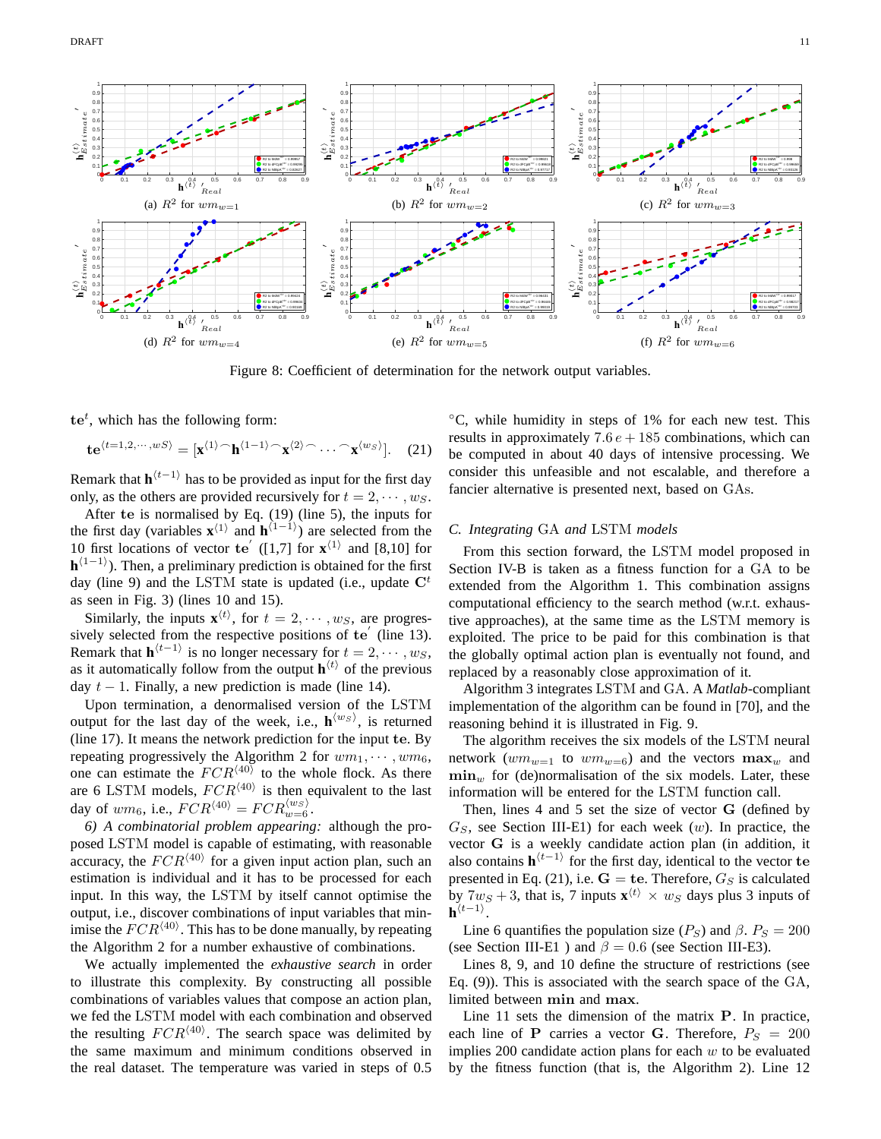

Figure 8: Coefficient of determination for the network output variables.

 $te^{t}$ , which has the following form:

$$
\mathbf{te}^{\langle t=1,2,\cdots,wS\rangle} = [\mathbf{x}^{\langle 1\rangle} \cap \mathbf{h}^{\langle 1-1\rangle} \cap \mathbf{x}^{\langle 2\rangle} \cap \cdots \cap \mathbf{x}^{\langle w_S\rangle}].
$$
 (21)

Remark that  $\mathbf{h}^{(t-1)}$  has to be provided as input for the first day only, as the others are provided recursively for  $t = 2, \dots, w_S$ .

After te is normalised by Eq. (19) (line 5), the inputs for the first day (variables  $\mathbf{x}^{(1)}$  and  $\mathbf{h}^{(1-1)}$ ) are selected from the 10 first locations of vector te<sup>'</sup> ([1,7] for  $\mathbf{x}^{\langle 1 \rangle}$  and [8,10] for **). Then, a preliminary prediction is obtained for the first** day (line 9) and the LSTM state is updated (i.e., update  $\mathbf{C}^t$ as seen in Fig. 3) (lines 10 and 15).

Similarly, the inputs  $\mathbf{x}^{(t)}$ , for  $t = 2, \dots, w_s$ , are progressively selected from the respective positions of te' (line 13). Remark that  $\mathbf{h}^{\langle t-1 \rangle}$  is no longer necessary for  $t = 2, \dots, w_S$ , as it automatically follow from the output  $\mathbf{h}^{\langle t \rangle}$  of the previous day  $t - 1$ . Finally, a new prediction is made (line 14).

Upon termination, a denormalised version of the LSTM output for the last day of the week, i.e.,  $\mathbf{h}^{\langle w_S \rangle}$ , is returned (line 17). It means the network prediction for the input te. By repeating progressively the Algorithm 2 for  $wm_1, \dots, w_m$ <sub>6</sub>, one can estimate the  $FCR^{\langle 40 \rangle}$  to the whole flock. As there are 6 LSTM models,  $FCR^{\langle 40 \rangle}$  is then equivalent to the last day of  $w m_6$ , i.e.,  $FCR^{\langle 40 \rangle} = F C R_{w=6}^{\langle w_S \rangle}$ .

*6) A combinatorial problem appearing:* although the proposed LSTM model is capable of estimating, with reasonable accuracy, the  $FCR^{\langle 40 \rangle}$  for a given input action plan, such an estimation is individual and it has to be processed for each input. In this way, the LSTM by itself cannot optimise the output, i.e., discover combinations of input variables that minimise the  $FCR^{\langle 40 \rangle}$ . This has to be done manually, by repeating the Algorithm 2 for a number exhaustive of combinations.

We actually implemented the *exhaustive search* in order to illustrate this complexity. By constructing all possible combinations of variables values that compose an action plan, we fed the LSTM model with each combination and observed the resulting  $FCR^{\langle 40 \rangle}$ . The search space was delimited by the same maximum and minimum conditions observed in the real dataset. The temperature was varied in steps of 0.5

◦C, while humidity in steps of 1% for each new test. This results in approximately  $7.6 e + 185$  combinations, which can be computed in about 40 days of intensive processing. We consider this unfeasible and not escalable, and therefore a fancier alternative is presented next, based on GAs.

# *C. Integrating* GA *and* LSTM *models*

From this section forward, the LSTM model proposed in Section IV-B is taken as a fitness function for a GA to be extended from the Algorithm 1. This combination assigns computational efficiency to the search method (w.r.t. exhaustive approaches), at the same time as the LSTM memory is exploited. The price to be paid for this combination is that the globally optimal action plan is eventually not found, and replaced by a reasonably close approximation of it.

Algorithm 3 integrates LSTM and GA. A *Matlab*-compliant implementation of the algorithm can be found in [70], and the reasoning behind it is illustrated in Fig. 9.

The algorithm receives the six models of the LSTM neural network ( $wm_{w=1}$  to  $wm_{w=6}$ ) and the vectors  $\max_w$  and  $\min_{w}$  for (de)normalisation of the six models. Later, these information will be entered for the LSTM function call.

Then, lines 4 and 5 set the size of vector G (defined by  $G<sub>S</sub>$ , see Section III-E1) for each week (w). In practice, the vector G is a weekly candidate action plan (in addition, it also contains  $\mathbf{h}^{(t-1)}$  for the first day, identical to the vector te presented in Eq. (21), i.e.  $G = \text{te}$ . Therefore,  $G_S$  is calculated by  $7w_S + 3$ , that is, 7 inputs  $\mathbf{x}^{\langle t \rangle} \times w_S$  days plus 3 inputs of  $\mathbf{h}^{\langle t-1\rangle}$ .

Line 6 quantifies the population size ( $P_S$ ) and  $\beta$ .  $P_S = 200$ (see Section III-E1) and  $\beta = 0.6$  (see Section III-E3).

Lines 8, 9, and 10 define the structure of restrictions (see Eq. (9)). This is associated with the search space of the GA, limited between min and max.

Line 11 sets the dimension of the matrix P. In practice, each line of **P** carries a vector **G**. Therefore,  $P_S = 200$ implies 200 candidate action plans for each  $w$  to be evaluated by the fitness function (that is, the Algorithm 2). Line 12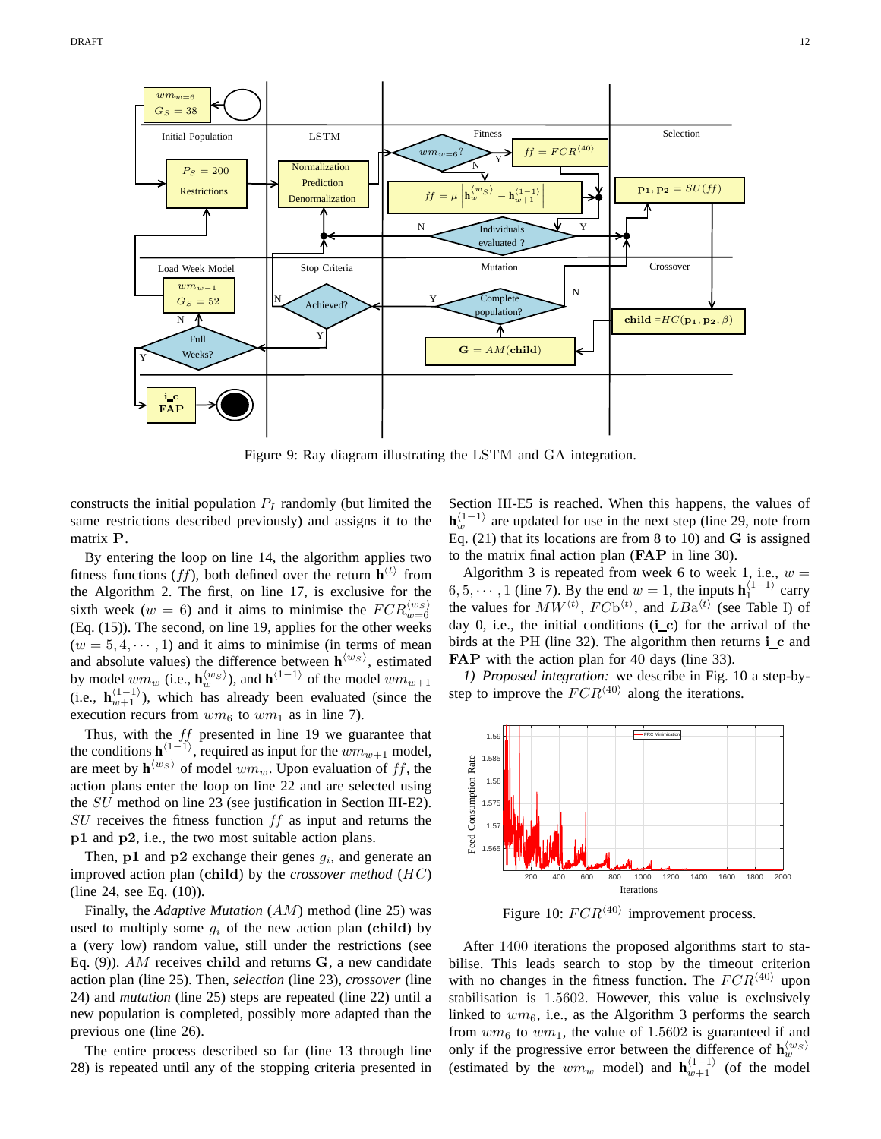

Figure 9: Ray diagram illustrating the LSTM and GA integration.

constructs the initial population  $P_I$  randomly (but limited the same restrictions described previously) and assigns it to the matrix P.

By entering the loop on line 14, the algorithm applies two fitness functions (*ff*), both defined over the return  $\mathbf{h}^{\langle t \rangle}$  from the Algorithm 2. The first, on line 17, is exclusive for the sixth week ( $w = 6$ ) and it aims to minimise the  $FCR_{w=6}^{(w_S)}$ (Eq. (15)). The second, on line 19, applies for the other weeks  $(w = 5, 4, \dots, 1)$  and it aims to minimise (in terms of mean and absolute values) the difference between  $h^{\langle w_S \rangle}$ , estimated by model  $w m_w$  (i.e.,  $\mathbf{h}_w^{\langle w_S \rangle}$ ), and  $\mathbf{h}^{\langle 1-1 \rangle}$  of the model  $w m_{w+1}$ (i.e.,  $\mathbf{h}_{w+1}^{(1-1)}$ ), which has already been evaluated (since the execution recurs from  $wm_6$  to  $wm_1$  as in line 7).

Thus, with the ff presented in line 19 we guarantee that the conditions  $\mathbf{h}^{\langle 1-1 \rangle}$ , required as input for the  $wm_{w+1}$  model, are meet by  $\mathbf{h}^{\langle w_S \rangle}$  of model  $wm_w$ . Upon evaluation of ff, the  $\langle w_s \rangle$  of model  $wm_w$ . Upon evaluation of ff, the action plans enter the loop on line 22 and are selected using the SU method on line 23 (see justification in Section III-E2).  $SU$  receives the fitness function  $ff$  as input and returns the p1 and p2, i.e., the two most suitable action plans.

Then,  $p1$  and  $p2$  exchange their genes  $g_i$ , and generate an improved action plan (child) by the *crossover method* (HC) (line 24, see Eq. (10)). PSfrag replacements

Finally, the *Adaptive Mutation* (AM) method (line 25) was used to multiply some  $g_i$  of the new action plan (child) by a (very low) random value, still under the restrictions (see Eq. (9)).  $AM$  receives child and returns G, a new candidate action plan (line 25). Then, *selection* (line 23), *crossover* (line 24) and *mutation* (line 25) steps are repeated (line 22) until a new population is completed, possibly more adapted than the previous one (line 26).

The entire process described so far (line 13 through line 28) is repeated until any of the stopping criteria presented in Section III-E5 is reached. When this happens, the values of  $\mathbf{h}_{w}^{\langle 1-1 \rangle}$  are updated for use in the next step (line 29, note from Eq. (21) that its locations are from 8 to 10) and G is assigned to the matrix final action plan (FAP in line 30).

Algorithm 3 is repeated from week 6 to week 1, i.e.,  $w =$  $6, 5, \dots, 1$  (line 7). By the end  $w = 1$ , the inputs  $\mathbf{h}_1^{\{1-1\}}$  carry the values for  $MW^{(t)}$ ,  $FCb^{(t)}$ , and  $LBa^{(t)}$  (see Table I) of day 0, i.e., the initial conditions  $(i_c)$  for the arrival of the birds at the PH (line 32). The algorithm then returns  $i$  c and FAP with the action plan for 40 days (line 33).

*1) Proposed integration:* we describe in Fig. 10 a step-bystep to improve the  $FCR^{\langle 40 \rangle}$  along the iterations.



Figure 10:  $FCR^{\langle 40 \rangle}$  improvement process.

After 1400 iterations the proposed algorithms start to stabilise. This leads search to stop by the timeout criterion with no changes in the fitness function. The  $FCR^{\langle 40 \rangle}$  upon stabilisation is 1.5602. However, this value is exclusively linked to  $wm_6$ , i.e., as the Algorithm 3 performs the search from  $wm_6$  to  $wm_1$ , the value of 1.5602 is guaranteed if and only if the progressive error between the difference of  $h_w^{(w_S)}$ (estimated by the  $wm_w$  model) and  $\mathbf{h}_{w+1}^{(1-1)}$  (of the model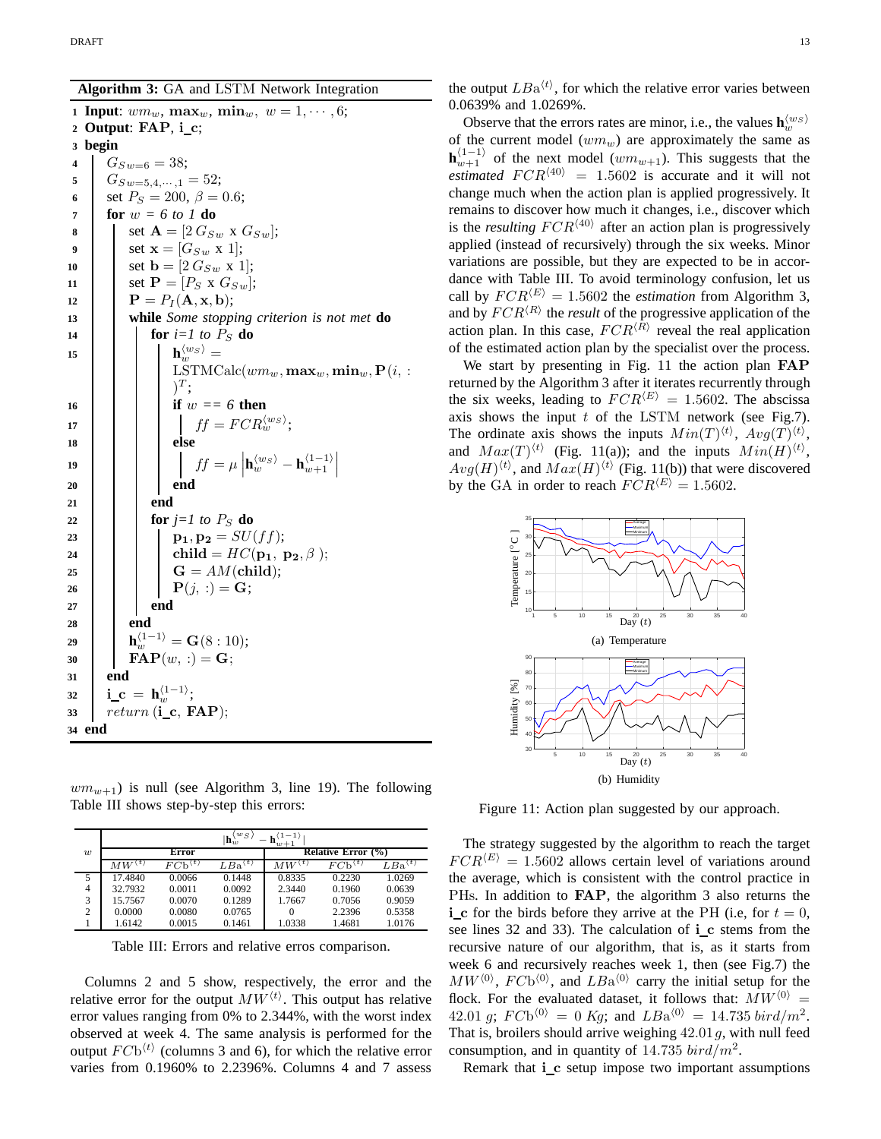**Algorithm 3:** GA and LSTM Network Integration

**1 Input**:  $wm_w$ ,  $\max_w$ ,  $\min_w$ ,  $w = 1, \cdots, 6$ ; **<sup>2</sup> Output**: FAP, i c; **3 begin** 4  $G_{Sw=6} = 38;$ 5  $G_{Sw=5,4,\dots,1} = 52;$ **6** set  $P_S = 200, \ \beta = 0.6;$ **<sup>7</sup> for** w *= 6 to 1* **do 8** set  $A = [2 G_{Sw} \times G_{Sw}];$ **9** set  $\mathbf{x} = [G_{Sw} \times 1];$ 10 set  $\mathbf{b} = [2 \ G_{Sw} \ \mathbf{x} \ 1];$ **11** | set  $P = [P_S \times G_{Sw}];$ 12 **P** =  $P_I$  (**A**, **x**, **b**); **<sup>13</sup> while** *Some stopping criterion is not met* **do**  $\mathbf{14}$  **for**  $i=1$  to  $P_{\rm S}$  **do 15 h**  $\binom{w_S}{w} =$  $\text{LSTMCalc}(wm_w, \textbf{max}_w, \textbf{min}_w, \textbf{P}(i, :$  $)^T;$ 16 **i if** w == 6 **then 17**  $\qquad$   $\qquad$   $\qquad$   $\qquad$   $\qquad$   $\qquad$   $\qquad$   $\qquad$   $\qquad$   $\qquad$   $\qquad$   $\qquad$   $\qquad$   $\qquad$   $\qquad$   $\qquad$   $\qquad$   $\qquad$   $\qquad$   $\qquad$   $\qquad$   $\qquad$   $\qquad$   $\qquad$   $\qquad$   $\qquad$   $\qquad$   $\qquad$   $\qquad$   $\qquad$   $\qquad$   $\qquad$   $\qquad$   $\qquad$   $\qquad$   $\qquad$  **<sup>18</sup> else 19 f**  $\left| \begin{array}{c} \hline \end{array} \right|$  **f**  $f = \mu$  $\mathbf{h}_w^{\langle w_S \rangle} - \mathbf{h}_{w+1}^{\langle 1-1 \rangle}$ **<sup>20</sup> end <sup>21</sup> end 22 for**  $j=1$  to  $P_S$  **do 23 p**<sub>1</sub>, **p**<sub>2</sub> =  $SU(ff)$ ; **24 child** =  $HC(\mathbf{p_1}, \mathbf{p_2}, \beta);$  $25$  G =  $AM$ (child); **26 P**(*i*, :) = **G**; **<sup>27</sup> end <sup>28</sup> end**  $\mathbf{a}^{(1)} = \mathbf{b}^{(1-1)}_w = \mathbf{G}(8:10);$ **30 FAP** $(w, :)= G;$ **<sup>31</sup> end**  $\mathbf{32}$   $\mathbf{i}\_ \mathbf{c} = \mathbf{h}_w^{\langle 1-1\rangle};$  $33$  return (i\_c, FAP); **<sup>34</sup> end**

the output  $LBa^{(t)}$ , for which the relative error varies between 0.0639% and 1.0269%.

Observe that the errors rates are minor, i.e., the values  $\mathbf{h}_w^{\langle w_S \rangle}$ of the current model  $(wm_w)$  are approximately the same as  $\mathbf{h}_{w+1}^{(1-1)}$  of the next model  $(wm_{w+1})$ . This suggests that the *estimated*  $FCR^{(40)} = 1.5602$  is accurate and it will not change much when the action plan is applied progressively. It remains to discover how much it changes, i.e., discover which is the *resulting*  $FCR^{\langle 40 \rangle}$  after an action plan is progressively applied (instead of recursively) through the six weeks. Minor variations are possible, but they are expected to be in accordance with Table III. To avoid terminology confusion, let us call by  $FCR^{\langle E \rangle} = 1.5602$  the *estimation* from Algorithm 3, and by  $FCR^{\langle R \rangle}$  the *result* of the progressive application of the action plan. In this case,  $FCR^{\langle R \rangle}$  reveal the real application of the estimated action plan by the specialist over the process.

We start by presenting in Fig. 11 the action plan FAP returned by the Algorithm 3 after it iterates recurrently through the six weeks, leading to  $FCR^{\langle E \rangle} = 1.5602$ . The abscissa axis shows the input  $t$  of the LSTM network (see Fig.7). The ordinate axis shows the inputs  $Min(T)^{\langle t \rangle}$ ,  $Avg(T)^{\langle t \rangle}$ , and  $Max(T)^{\langle t \rangle}$  (Fig. 11(a)); and the inputs  $Min(H)^{\langle t \rangle}$ ,  $Avg(H)^{\langle t \rangle}$ , and  $Max(H)^{\langle t \rangle}$  (Fig. 11(b)) that were discovered by the GA in order to reach  $FCR^{\langle E \rangle} = 1.5602$ .



 $wm_{w+1}$ ) is null (see Algorithm 3, line 19). The following Table III shows step-by-step this errors:

|                  |            |                           | $w_S$<br>$\mathbf{h}^{\scriptscriptstyle{(}}_w$ |                    |                           |             |
|------------------|------------|---------------------------|-------------------------------------------------|--------------------|---------------------------|-------------|
| $\boldsymbol{w}$ | Error      |                           |                                                 | Relative Error (%) |                           |             |
|                  | $MW^{(t)}$ | $FCb^{\langle t \rangle}$ | $LBa^{\langle t \rangle}$                       | $MW^{(t)}$         | $FCh^{\langle t \rangle}$ | $LBa^{(t)}$ |
| 5                | 17.4840    | 0.0066                    | 0.1448                                          | 0.8335             | 0.2230                    | 1.0269      |
| 4                | 32.7932    | 0.0011                    | 0.0092                                          | 2.3440             | 0.1960                    | 0.0639      |
| 3                | 15.7567    | 0.0070                    | 0.1289                                          | 1.7667             | 0.7056                    | 0.9059      |
| 2                | 0.0000     | 0.0080                    | 0.0765                                          |                    | 2.2396                    | 0.5358      |
|                  | 1.6142     | 0.0015                    | 0.1461                                          | 1.0338             | 1.4681                    | 1.0176      |

Table III: Errors and relative erros comparison.

Columns 2 and 5 show, respectively, the error and the relative error for the output  $MW^{\langle t \rangle}$ . This output has relative error values ranging from 0% to 2.344%, with the worst index observed at week 4. The same analysis is performed for the output  $FCb<sup>{t}</sup>$  (columns 3 and 6), for which the relative error varies from 0.1960% to 2.2396%. Columns 4 and 7 assess

Figure 11: Action plan suggested by our approach.

The strategy suggested by the algorithm to reach the target  $FCR^{\langle E \rangle} = 1.5602$  allows certain level of variations around the average, which is consistent with the control practice in PHs. In addition to FAP, the algorithm 3 also returns the i\_c for the birds before they arrive at the PH (i.e, for  $t = 0$ , see lines 32 and 33). The calculation of  $i_c$  stems from the recursive nature of our algorithm, that is, as it starts from week 6 and recursively reaches week 1, then (see Fig.7) the  $MW^{(0)}$ ,  $FCb^{(0)}$ , and  $LBa^{(0)}$  carry the initial setup for the flock. For the evaluated dataset, it follows that:  $MW^{\langle 0 \rangle} =$ 42.01 g;  $FCb^{\langle 0 \rangle} = 0$  Kg; and  $LBa^{\langle 0 \rangle} = 14.735$   $bird/m^2$ . That is, broilers should arrive weighing  $42.01q$ , with null feed consumption, and in quantity of 14.735  $bird/m^2$ .

Remark that i\_c setup impose two important assumptions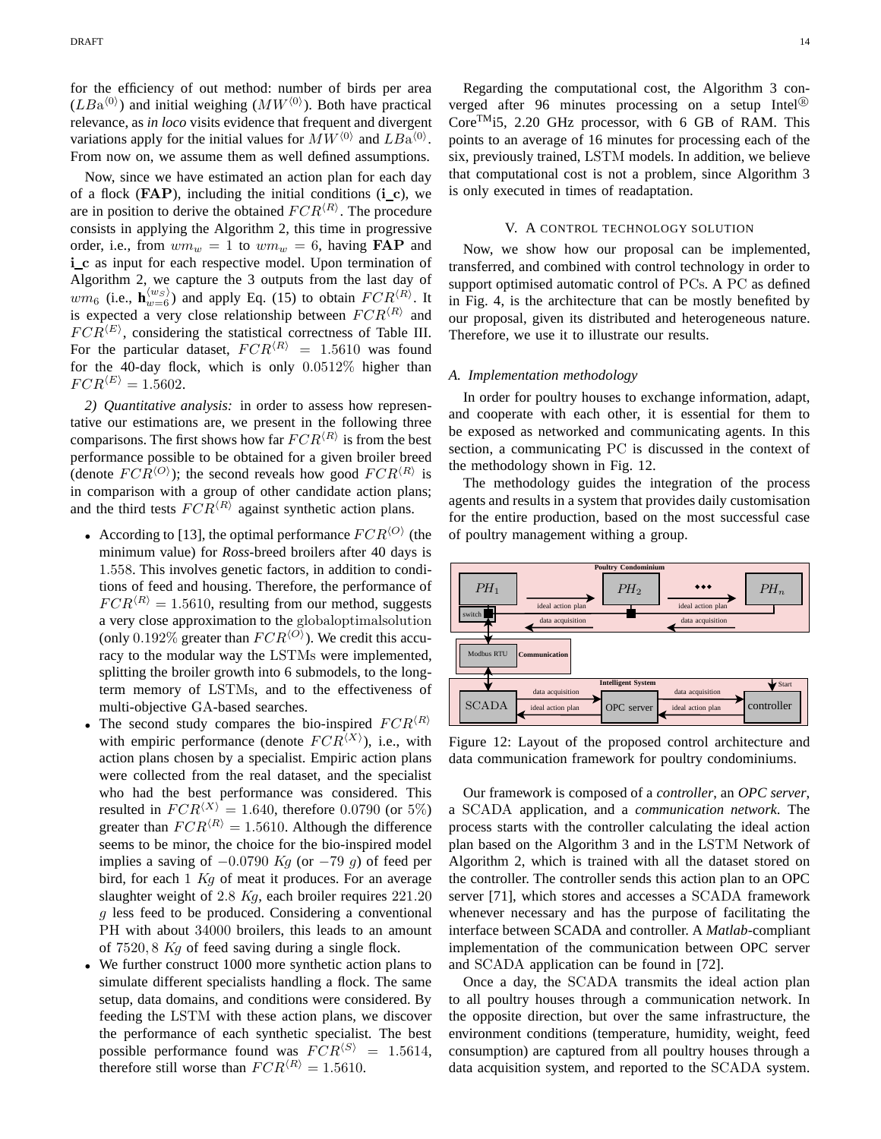for the efficiency of out method: number of birds per area  $(LBa^{\langle 0 \rangle})$  and initial weighing  $(MW^{\langle 0 \rangle})$ . Both have practical relevance, as *in loco* visits evidence that frequent and divergent variations apply for the initial values for  $MW^{(0)}$  and  $LBa^{(0)}$ . From now on, we assume them as well defined assumptions.

Now, since we have estimated an action plan for each day of a flock  $(FAP)$ , including the initial conditions  $(i \ c)$ , we are in position to derive the obtained  $FCR^{\langle R \rangle}$ . The procedure consists in applying the Algorithm 2, this time in progressive order, i.e., from  $wm_w = 1$  to  $wm_w = 6$ , having **FAP** and i\_c as input for each respective model. Upon termination of Algorithm 2, we capture the 3 outputs from the last day of  $wm_6$  (i.e.,  $\mathbf{h}_{w=6}^{\langle w_S \rangle}$ ) and apply Eq. (15) to obtain  $FCR^{\langle R \rangle}$ . It is expected a very close relationship between  $FCR^{\langle R \rangle}$  and  $FCR^{\langle E \rangle}$ , considering the statistical correctness of Table III. For the particular dataset,  $FCR^{\langle R \rangle} = 1.5610$  was found for the 40-day flock, which is only 0.0512% higher than  $FCR^{\langle E \rangle} = 1.5602.$ 

2) *Quantitative analysis*: in order to asse**RS** thas *preements* tative our estimations are, we present in the following three comparisons. The first shows how far  $FCR^{\langle R \rangle}$  is from the best performance possible to be obtained for a given broiler breed (denote  $FCR^{\langle O \rangle}$ ); the second reveals how good  $FCR^{\langle R \rangle}$  is in comparison with a group of other candidate action plans; and the third tests  $FCR^{\langle R \rangle}$  against synthetic action plans.

- According to [13], the optimal performance  $FCR^{\langle O \rangle}$  (the minimum value) for *Ross*-breed broilers after 40 days is 1.558. This involves genetic factors, in addition to conditions of feed and housing. Therefore, the performance of  $FCR^{\langle R \rangle} = 1.5610$ , resulting from our method, suggests a very close approximation to the globaloptimalsolution (only 0.192% greater than  $FCR^{\langle O \rangle}$ ). We credit this accuracy to the modular way the LSTMs were implemented, splitting the broiler growth into 6 submodels, to the long alarms term memory of LSTMs, and to the effectiveness of multi-objective GA-based searches.
- The second study compares the bio-inspired  $FG^{\text{th}}\mathbb{R}^{\text{th}2\text{p}_\text{itoring}}$ with empiric performance (denote  $FCR^{\langle X \rangle}$ ), i.e., with action plans chosen by a specialist. Empiric action plans were collected from the real dataset, and the specialist who had the best performance was considered. This resulted in  $FCR^{\langle X \rangle} = 1.640$ , therefore 0.0790 (or 5%) greater than  $FCR^{\langle R \rangle} = 1.5610$ . Although the difference seems to be minor, the choice for the bio-inspired model implies a saving of  $-0.0790$  Kg (or  $-79$  g) of feed per bird, for each  $1$  Kg of meat it produces. For an average slaughter weight of 2.8 Kg, each broiler requires 221.20 g less feed to be produced. Considering a conventional PH with about 34000 broilers, this leads to an amount of 7520, 8 Kg of feed saving during a single flock.
- We further construct 1000 more synthetic action plans to simulate different specialists handling a flock. The same setup, data domains, and conditions were considered. By feeding the LSTM with these action plans, we discover the performance of each synthetic specialist. The best possible performance found was  $FCR^{\langle S \rangle} = 1.5614$ , therefore still worse than  $FCR^{\langle R \rangle} = 1.5610$ .

Regarding the computational cost, the Algorithm 3 converged after 96 minutes processing on a setup Intel<sup>®</sup> CoreTMi5, 2.20 GHz processor, with 6 GB of RAM. This points to an average of 16 minutes for processing each of the six, previously trained, LSTM models. In addition, we believe that computational cost is not a problem, since Algorithm 3 is only executed in times of readaptation.

# V. A CONTROL TECHNOLOGY SOLUTION

Now, we show how our proposal can be implemented, transferred, and combined with control technology in order to support optimised automatic control of PCs. A PC as defined in Fig. 4, is the architecture that can be mostly benefited by our proposal, given its distributed and heterogeneous nature. Therefore, we use it to illustrate our results.

#### *A. Implementation methodology*

In order for poultry houses to exchange information, adapt, and cooperate with each other, it is essential for them to be exposed as networked and communicating agents. In this section, a communicating PC is discussed in the context of the methodology shown in Fig. 12.

The methodology guides the integration of the process agents and results in a system that provides daily customisation for the entire production, based on the most successful case of poultry management withing a group.



Figure 12: Layout of the proposed control architecture and data communication framework for poultry condominiums.

Our framework is composed of a *controller*, an *OPC server*, a SCADA application, and a *communication network*. The process starts with the controller calculating the ideal action plan based on the Algorithm 3 and in the LSTM Network of Algorithm 2, which is trained with all the dataset stored on the controller. The controller sends this action plan to an OPC server [71], which stores and accesses a SCADA framework whenever necessary and has the purpose of facilitating the interface between SCADA and controller. A *Matlab*-compliant implementation of the communication between OPC server and SCADA application can be found in [72].

Once a day, the SCADA transmits the ideal action plan to all poultry houses through a communication network. In the opposite direction, but over the same infrastructure, the environment conditions (temperature, humidity, weight, feed consumption) are captured from all poultry houses through a data acquisition system, and reported to the SCADA system.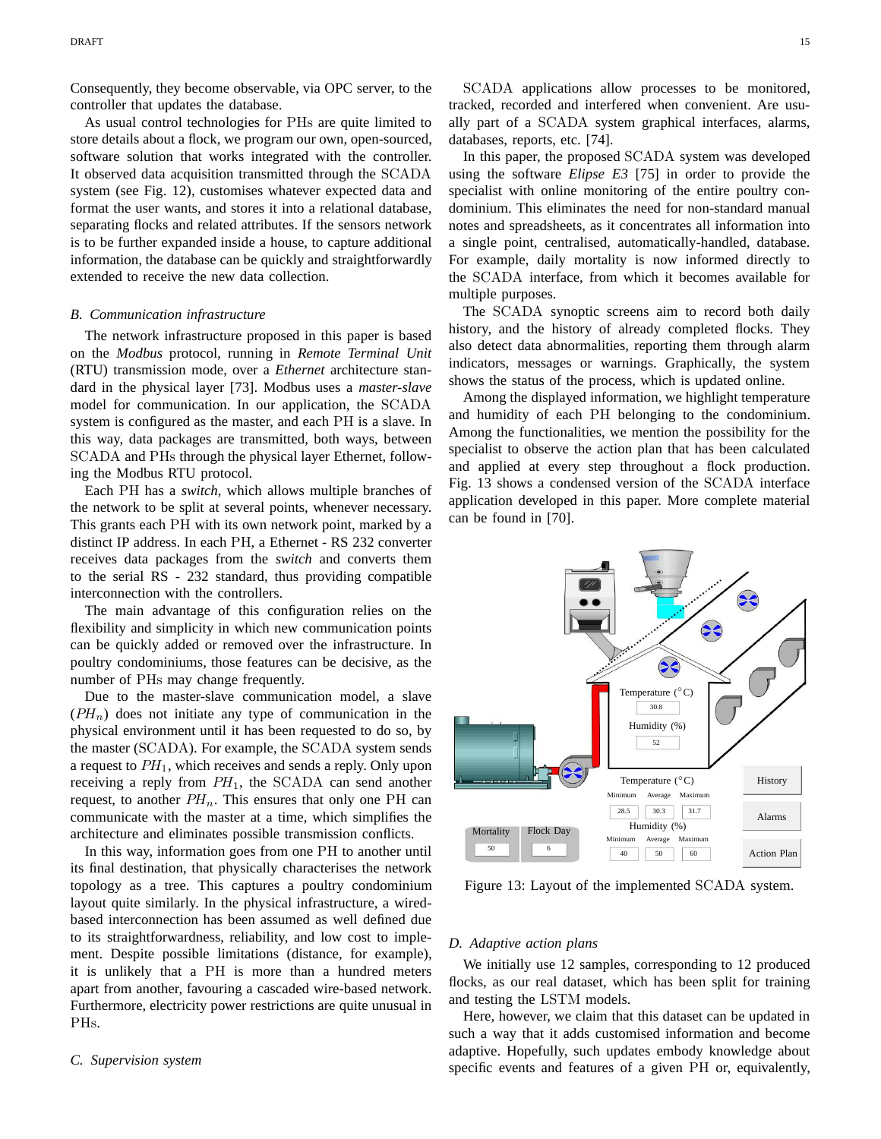Consequently, they become observable, via OPC server, to the controller that updates the database.

As usual control technologies for PHs are quite limited to store details about a flock, we program our own, open-sourced, software solution that works integrated with the controller. It observed data acquisition transmitted through the SCADA system (see Fig. 12), customises whatever expected data and format the user wants, and stores it into a relational database, separating flocks and related attributes. If the sensors network is to be further expanded inside a house, to capture additional information, the database can be quickly and straightforwardly extended to receive the new data collection.

## *B. Communication infrastructure*

The network infrastructure proposed in this paper is based on the *Modbus* protocol, running in *Remote Terminal Unit* (RTU) transmission mode, over a *Ethernet* architecture standard in the physical layer [73]. Modbus uses a *master-slave* model for communication. In our application, the SCADA system is configured as the master, and each PH is a slave. In this way, data packages are transmitted, both ways, between SCADA and PHs through the physical layer Ethernet, following the Modbus RTU protocol.

Each PH has a *switch*, which allows multiple branches of the network to be split at several points, whenever necessary. This grants each PH with its own network point, marked by a This grants each T<sub>11</sub> with its own hetwork part in a graduate ments<br>distinct IP address. In each PH, a Ethernet - <del>RS 232 converter</del> receives data packages from the *switch* and converts them to the serial RS - 232 standard, thus providing compatible interconnection with the controllers.

The main advantage of this configuration relies on the flexibility and simplicity in which new communication points can be quickly added or removed over the infrastructure. In poultry condominiums, those features can be decisive, as the number of PHs may change frequently.

Due to the master-slave communication model, a slave  $(PH_n)$  does not initiate any type of communication in the physical environment until it has been requested to do so, by the master (SCADA). For example, the SCADA system sends a request to  $PH_1$ , which receives and sends a reply. Only upon receiving a reply from  $PH_1$ , the SCADA can send another request, to another  $PH_n$ . This ensures that only one PH can communicate with the master at a time, which simplifies the architecture and eliminates possible transmission conflicts.

In this way, information goes from one PH to another until its final destination, that physically characterises the network topology as a tree. This captures a poultry condominium layout quite similarly. In the physical infrastructure, a wiredbased interconnection has been assumed as well defined due to its straightforwardness, reliability, and low cost to implement. Despite possible limitations (distance, for example), it is unlikely that a PH is more than a hundred meters apart from another, favouring a cascaded wire-based network. Furthermore, electricity power restrictions are quite unusual in PHs.

SCADA applications allow processes to be monitored, tracked, recorded and interfered when convenient. Are usually part of a SCADA system graphical interfaces, alarms, databases, reports, etc. [74].

In this paper, the proposed SCADA system was developed using the software *Elipse E3* [75] in order to provide the specialist with online monitoring of the entire poultry condominium. This eliminates the need for non-standard manual notes and spreadsheets, as it concentrates all information into a single point, centralised, automatically-handled, database. For example, daily mortality is now informed directly to the SCADA interface, from which it becomes available for multiple purposes.

The SCADA synoptic screens aim to record both daily history, and the history of already completed flocks. They also detect data abnormalities, reporting them through alarm indicators, messages or warnings. Graphically, the system shows the status of the process, which is updated online.

Among the displayed information, we highlight temperature and humidity of each PH belonging to the condominium. Among the functionalities, we mention the possibility for the specialist to observe the action plan that has been calculated and applied at every step throughout a flock production. Fig. 13 shows a condensed version of the SCADA interface application developed in this paper. More complete material can be found in [70].



Figure 13: Layout of the implemented SCADA system.

#### *D. Adaptive action plans*

We initially use 12 samples, corresponding to 12 produced flocks, as our real dataset, which has been split for training and testing the LSTM models.

Here, however, we claim that this dataset can be updated in such a way that it adds customised information and become adaptive. Hopefully, such updates embody knowledge about specific events and features of a given PH or, equivalently,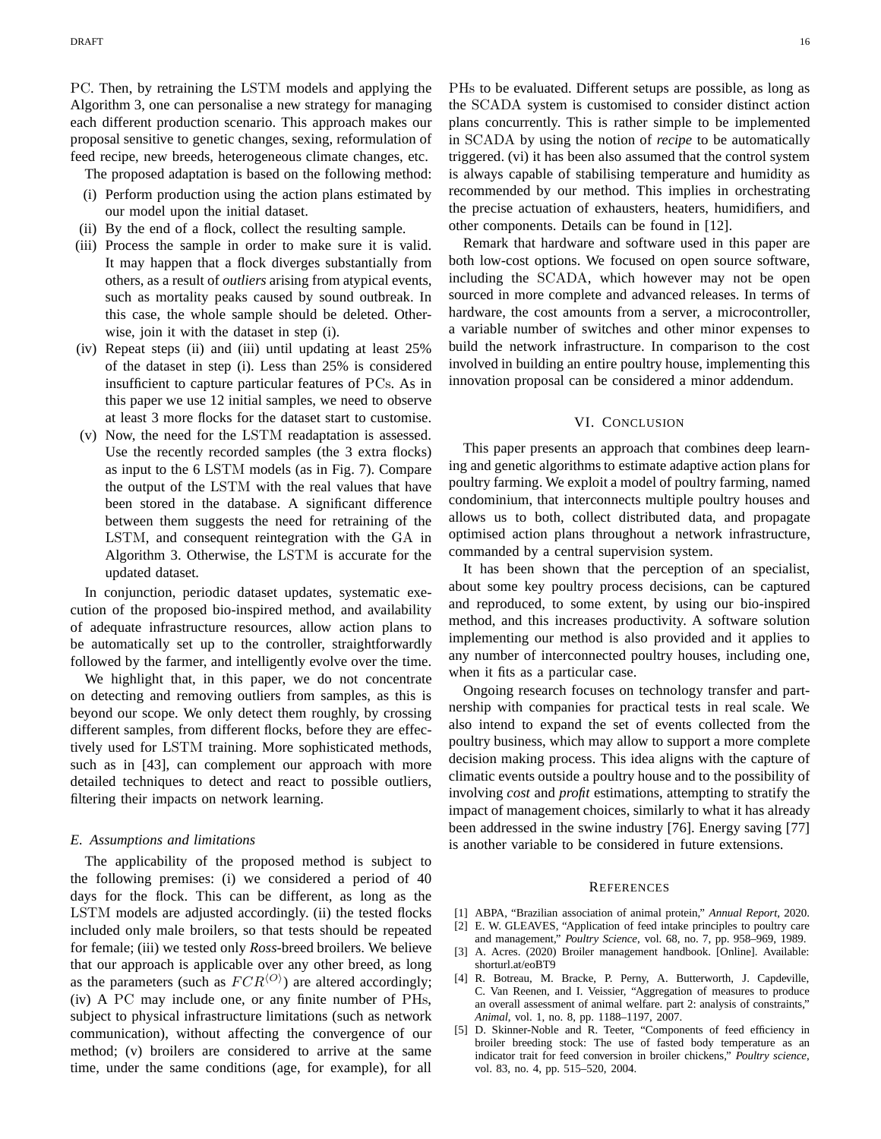PC. Then, by retraining the LSTM models and applying the Algorithm 3, one can personalise a new strategy for managing each different production scenario. This approach makes our proposal sensitive to genetic changes, sexing, reformulation of feed recipe, new breeds, heterogeneous climate changes, etc.

The proposed adaptation is based on the following method:

- (i) Perform production using the action plans estimated by our model upon the initial dataset.
- (ii) By the end of a flock, collect the resulting sample.
- (iii) Process the sample in order to make sure it is valid. It may happen that a flock diverges substantially from others, as a result of *outliers* arising from atypical events, such as mortality peaks caused by sound outbreak. In this case, the whole sample should be deleted. Otherwise, join it with the dataset in step (i).
- (iv) Repeat steps (ii) and (iii) until updating at least 25% of the dataset in step (i). Less than 25% is considered insufficient to capture particular features of PCs. As in this paper we use 12 initial samples, we need to observe at least 3 more flocks for the dataset start to customise.
- (v) Now, the need for the LSTM readaptation is assessed. Use the recently recorded samples (the 3 extra flocks) as input to the 6 LSTM models (as in Fig. 7). Compare the output of the LSTM with the real values that have been stored in the database. A significant difference between them suggests the need for retraining of the LSTM, and consequent reintegration with the GA in Algorithm 3. Otherwise, the LSTM is accurate for the updated dataset.

In conjunction, periodic dataset updates, systematic execution of the proposed bio-inspired method, and availability of adequate infrastructure resources, allow action plans to be automatically set up to the controller, straightforwardly followed by the farmer, and intelligently evolve over the time.

We highlight that, in this paper, we do not concentrate on detecting and removing outliers from samples, as this is beyond our scope. We only detect them roughly, by crossing different samples, from different flocks, before they are effectively used for LSTM training. More sophisticated methods, such as in [43], can complement our approach with more detailed techniques to detect and react to possible outliers, filtering their impacts on network learning.

# *E. Assumptions and limitations*

The applicability of the proposed method is subject to the following premises: (i) we considered a period of 40 days for the flock. This can be different, as long as the LSTM models are adjusted accordingly. (ii) the tested flocks included only male broilers, so that tests should be repeated for female; (iii) we tested only *Ross*-breed broilers. We believe that our approach is applicable over any other breed, as long as the parameters (such as  $FCR^{\langle O \rangle}$ ) are altered accordingly; (iv) A PC may include one, or any finite number of PHs, subject to physical infrastructure limitations (such as network communication), without affecting the convergence of our method; (v) broilers are considered to arrive at the same time, under the same conditions (age, for example), for all PHs to be evaluated. Different setups are possible, as long as the SCADA system is customised to consider distinct action plans concurrently. This is rather simple to be implemented in SCADA by using the notion of *recipe* to be automatically triggered. (vi) it has been also assumed that the control system is always capable of stabilising temperature and humidity as recommended by our method. This implies in orchestrating the precise actuation of exhausters, heaters, humidifiers, and other components. Details can be found in [12].

Remark that hardware and software used in this paper are both low-cost options. We focused on open source software, including the SCADA, which however may not be open sourced in more complete and advanced releases. In terms of hardware, the cost amounts from a server, a microcontroller, a variable number of switches and other minor expenses to build the network infrastructure. In comparison to the cost involved in building an entire poultry house, implementing this innovation proposal can be considered a minor addendum.

## VI. CONCLUSION

This paper presents an approach that combines deep learning and genetic algorithms to estimate adaptive action plans for poultry farming. We exploit a model of poultry farming, named condominium, that interconnects multiple poultry houses and allows us to both, collect distributed data, and propagate optimised action plans throughout a network infrastructure, commanded by a central supervision system.

It has been shown that the perception of an specialist, about some key poultry process decisions, can be captured and reproduced, to some extent, by using our bio-inspired method, and this increases productivity. A software solution implementing our method is also provided and it applies to any number of interconnected poultry houses, including one, when it fits as a particular case.

Ongoing research focuses on technology transfer and partnership with companies for practical tests in real scale. We also intend to expand the set of events collected from the poultry business, which may allow to support a more complete decision making process. This idea aligns with the capture of climatic events outside a poultry house and to the possibility of involving *cost* and *profit* estimations, attempting to stratify the impact of management choices, similarly to what it has already been addressed in the swine industry [76]. Energy saving [77] is another variable to be considered in future extensions.

#### **REFERENCES**

- [1] ABPA, "Brazilian association of animal protein," *Annual Report*, 2020.
- [2] E. W. GLEAVES, "Application of feed intake principles to poultry care and management," *Poultry Science*, vol. 68, no. 7, pp. 958–969, 1989.
- [3] A. Acres. (2020) Broiler management handbook. [Online]. Available: shorturl.at/eoBT9
- [4] R. Botreau, M. Bracke, P. Perny, A. Butterworth, J. Capdeville, C. Van Reenen, and I. Veissier, "Aggregation of measures to produce an overall assessment of animal welfare. part 2: analysis of constraints," *Animal*, vol. 1, no. 8, pp. 1188–1197, 2007.
- [5] D. Skinner-Noble and R. Teeter, "Components of feed efficiency in broiler breeding stock: The use of fasted body temperature as an indicator trait for feed conversion in broiler chickens," *Poultry science*, vol. 83, no. 4, pp. 515–520, 2004.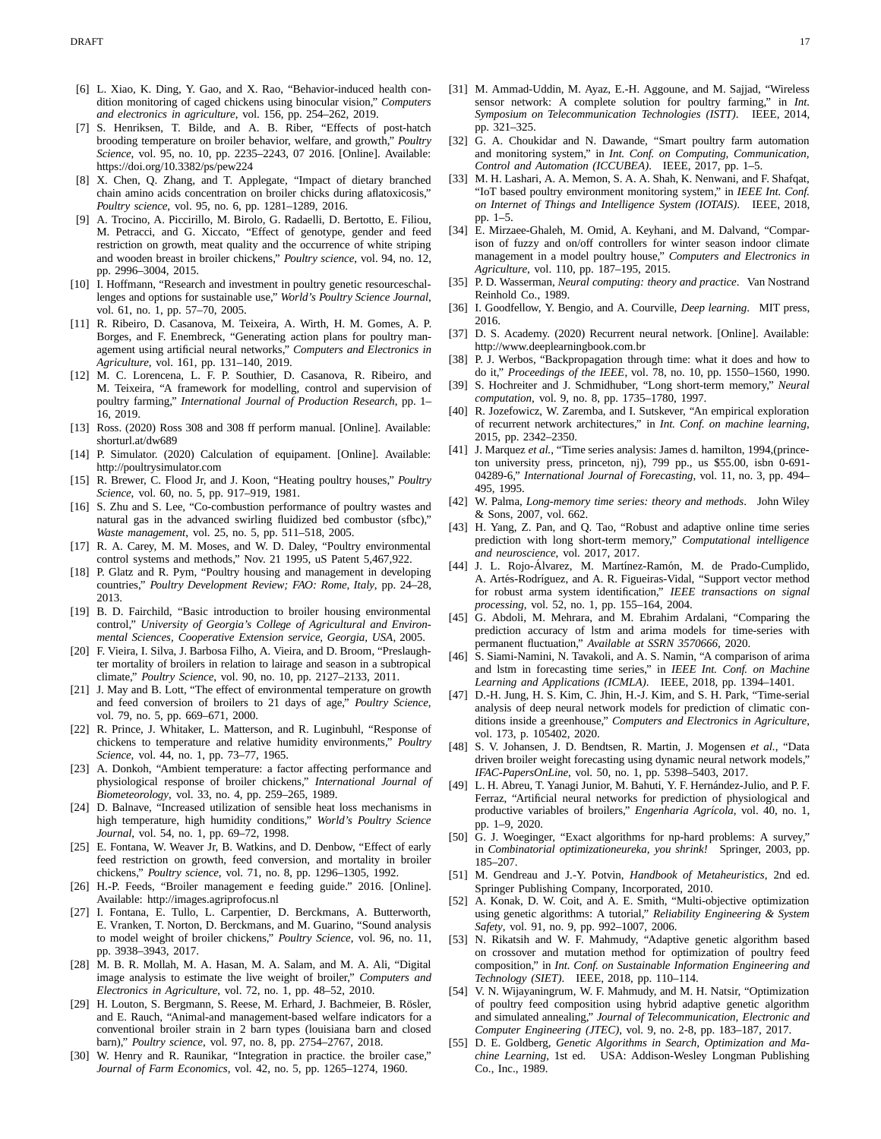- [6] L. Xiao, K. Ding, Y. Gao, and X. Rao, "Behavior-induced health condition monitoring of caged chickens using binocular vision," *Computers and electronics in agriculture*, vol. 156, pp. 254–262, 2019.
- [7] S. Henriksen, T. Bilde, and A. B. Riber, "Effects of post-hatch brooding temperature on broiler behavior, welfare, and growth," *Poultry Science*, vol. 95, no. 10, pp. 2235–2243, 07 2016. [Online]. Available: https://doi.org/10.3382/ps/pew224
- [8] X. Chen, Q. Zhang, and T. Applegate, "Impact of dietary branched chain amino acids concentration on broiler chicks during aflatoxicosis," *Poultry science*, vol. 95, no. 6, pp. 1281–1289, 2016.
- [9] A. Trocino, A. Piccirillo, M. Birolo, G. Radaelli, D. Bertotto, E. Filiou, M. Petracci, and G. Xiccato, "Effect of genotype, gender and feed restriction on growth, meat quality and the occurrence of white striping and wooden breast in broiler chickens," *Poultry science*, vol. 94, no. 12, pp. 2996–3004, 2015.
- [10] I. Hoffmann, "Research and investment in poultry genetic resourceschallenges and options for sustainable use," *World's Poultry Science Journal*, vol. 61, no. 1, pp. 57–70, 2005.
- [11] R. Ribeiro, D. Casanova, M. Teixeira, A. Wirth, H. M. Gomes, A. P. Borges, and F. Enembreck, "Generating action plans for poultry management using artificial neural networks," *Computers and Electronics in Agriculture*, vol. 161, pp. 131–140, 2019.
- [12] M. C. Lorencena, L. F. P. Southier, D. Casanova, R. Ribeiro, and M. Teixeira, "A framework for modelling, control and supervision of poultry farming," *International Journal of Production Research*, pp. 1– 16, 2019.
- [13] Ross. (2020) Ross 308 and 308 ff perform manual. [Online]. Available: shorturl.at/dw689
- [14] P. Simulator. (2020) Calculation of equipament. [Online]. Available: http://poultrysimulator.com
- [15] R. Brewer, C. Flood Jr, and J. Koon, "Heating poultry houses," *Poultry Science*, vol. 60, no. 5, pp. 917–919, 1981.
- [16] S. Zhu and S. Lee, "Co-combustion performance of poultry wastes and natural gas in the advanced swirling fluidized bed combustor (sfbc)," *Waste management*, vol. 25, no. 5, pp. 511–518, 2005.
- [17] R. A. Carey, M. M. Moses, and W. D. Daley, "Poultry environmental control systems and methods," Nov. 21 1995, uS Patent 5,467,922.
- [18] P. Glatz and R. Pym, "Poultry housing and management in developing countries," *Poultry Development Review; FAO: Rome, Italy*, pp. 24–28, 2013.
- [19] B. D. Fairchild, "Basic introduction to broiler housing environmental control," *University of Georgia's College of Agricultural and Environmental Sciences, Cooperative Extension service, Georgia, USA*, 2005.
- [20] F. Vieira, I. Silva, J. Barbosa Filho, A. Vieira, and D. Broom, "Preslaughter mortality of broilers in relation to lairage and season in a subtropical climate," *Poultry Science*, vol. 90, no. 10, pp. 2127–2133, 2011.
- [21] J. May and B. Lott, "The effect of environmental temperature on growth and feed conversion of broilers to 21 days of age," *Poultry Science*, vol. 79, no. 5, pp. 669–671, 2000.
- [22] R. Prince, J. Whitaker, L. Matterson, and R. Luginbuhl, "Response of chickens to temperature and relative humidity environments," *Poultry Science*, vol. 44, no. 1, pp. 73–77, 1965.
- [23] A. Donkoh, "Ambient temperature: a factor affecting performance and physiological response of broiler chickens," *International Journal of Biometeorology*, vol. 33, no. 4, pp. 259–265, 1989.
- [24] D. Balnave, "Increased utilization of sensible heat loss mechanisms in high temperature, high humidity conditions," *World's Poultry Science Journal*, vol. 54, no. 1, pp. 69–72, 1998.
- [25] E. Fontana, W. Weaver Jr, B. Watkins, and D. Denbow, "Effect of early feed restriction on growth, feed conversion, and mortality in broiler chickens," *Poultry science*, vol. 71, no. 8, pp. 1296–1305, 1992.
- [26] H.-P. Feeds, "Broiler management e feeding guide." 2016. [Online]. Available: http://images.agriprofocus.nl
- [27] I. Fontana, E. Tullo, L. Carpentier, D. Berckmans, A. Butterworth, E. Vranken, T. Norton, D. Berckmans, and M. Guarino, "Sound analysis to model weight of broiler chickens," *Poultry Science*, vol. 96, no. 11, pp. 3938–3943, 2017.
- [28] M. B. R. Mollah, M. A. Hasan, M. A. Salam, and M. A. Ali, "Digital image analysis to estimate the live weight of broiler," *Computers and Electronics in Agriculture*, vol. 72, no. 1, pp. 48–52, 2010.
- [29] H. Louton, S. Bergmann, S. Reese, M. Erhard, J. Bachmeier, B. Rösler, and E. Rauch, "Animal-and management-based welfare indicators for a conventional broiler strain in 2 barn types (louisiana barn and closed barn)," *Poultry science*, vol. 97, no. 8, pp. 2754–2767, 2018.
- [30] W. Henry and R. Raunikar, "Integration in practice. the broiler case," *Journal of Farm Economics*, vol. 42, no. 5, pp. 1265–1274, 1960.
- [31] M. Ammad-Uddin, M. Ayaz, E.-H. Aggoune, and M. Sajjad, "Wireless sensor network: A complete solution for poultry farming," in *Int. Symposium on Telecommunication Technologies (ISTT)*. IEEE, 2014, pp. 321–325.
- [32] G. A. Choukidar and N. Dawande, "Smart poultry farm automation and monitoring system," in *Int. Conf. on Computing, Communication, Control and Automation (ICCUBEA)*. IEEE, 2017, pp. 1–5.
- [33] M. H. Lashari, A. A. Memon, S. A. A. Shah, K. Nenwani, and F. Shafqat, "IoT based poultry environment monitoring system," in *IEEE Int. Conf. on Internet of Things and Intelligence System (IOTAIS)*. IEEE, 2018, pp. 1–5.
- [34] E. Mirzaee-Ghaleh, M. Omid, A. Keyhani, and M. Dalvand, "Comparison of fuzzy and on/off controllers for winter season indoor climate management in a model poultry house," *Computers and Electronics in Agriculture*, vol. 110, pp. 187–195, 2015.
- [35] P. D. Wasserman, *Neural computing: theory and practice*. Van Nostrand Reinhold Co., 1989.
- [36] I. Goodfellow, Y. Bengio, and A. Courville, *Deep learning*. MIT press, 2016.
- [37] D. S. Academy. (2020) Recurrent neural network. [Online]. Available: http://www.deeplearningbook.com.br
- [38] P. J. Werbos, "Backpropagation through time: what it does and how to do it," *Proceedings of the IEEE*, vol. 78, no. 10, pp. 1550–1560, 1990.
- [39] S. Hochreiter and J. Schmidhuber, "Long short-term memory," *Neural computation*, vol. 9, no. 8, pp. 1735–1780, 1997.
- [40] R. Jozefowicz, W. Zaremba, and I. Sutskever, "An empirical exploration of recurrent network architectures," in *Int. Conf. on machine learning*, 2015, pp. 2342–2350.
- [41] J. Marquez *et al.*, "Time series analysis: James d. hamilton, 1994,(princeton university press, princeton, nj), 799 pp., us \$55.00, isbn 0-691- 04289-6," *International Journal of Forecasting*, vol. 11, no. 3, pp. 494– 495, 1995.
- [42] W. Palma, *Long-memory time series: theory and methods*. John Wiley & Sons, 2007, vol. 662.
- [43] H. Yang, Z. Pan, and Q. Tao, "Robust and adaptive online time series prediction with long short-term memory," *Computational intelligence and neuroscience*, vol. 2017, 2017.
- [44] J. L. Rojo-Álvarez, M. Martínez-Ramón, M. de Prado-Cumplido, A. Artés-Rodríguez, and A. R. Figueiras-Vidal, "Support vector method for robust arma system identification," *IEEE transactions on signal processing*, vol. 52, no. 1, pp. 155–164, 2004.
- [45] G. Abdoli, M. Mehrara, and M. Ebrahim Ardalani, "Comparing the prediction accuracy of lstm and arima models for time-series with permanent fluctuation," *Available at SSRN 3570666*, 2020.
- [46] S. Siami-Namini, N. Tavakoli, and A. S. Namin, "A comparison of arima and lstm in forecasting time series," in *IEEE Int. Conf. on Machine Learning and Applications (ICMLA)*. IEEE, 2018, pp. 1394–1401.
- [47] D.-H. Jung, H. S. Kim, C. Jhin, H.-J. Kim, and S. H. Park, "Time-serial analysis of deep neural network models for prediction of climatic conditions inside a greenhouse," *Computers and Electronics in Agriculture*, vol. 173, p. 105402, 2020.
- [48] S. V. Johansen, J. D. Bendtsen, R. Martin, J. Mogensen *et al.*, "Data driven broiler weight forecasting using dynamic neural network models," *IFAC-PapersOnLine*, vol. 50, no. 1, pp. 5398–5403, 2017.
- [49] L. H. Abreu, T. Yanagi Junior, M. Bahuti, Y. F. Hernández-Julio, and P. F. Ferraz, "Artificial neural networks for prediction of physiological and productive variables of broilers," *Engenharia Agrícola*, vol. 40, no. 1, pp. 1–9, 2020.
- [50] G. J. Woeginger, "Exact algorithms for np-hard problems: A survey," in *Combinatorial optimizationeureka, you shrink!* Springer, 2003, pp. 185–207.
- [51] M. Gendreau and J.-Y. Potvin, *Handbook of Metaheuristics*, 2nd ed. Springer Publishing Company, Incorporated, 2010.
- [52] A. Konak, D. W. Coit, and A. E. Smith, "Multi-objective optimization using genetic algorithms: A tutorial," *Reliability Engineering & System Safety*, vol. 91, no. 9, pp. 992–1007, 2006.
- [53] N. Rikatsih and W. F. Mahmudy, "Adaptive genetic algorithm based on crossover and mutation method for optimization of poultry feed composition," in *Int. Conf. on Sustainable Information Engineering and Technology (SIET)*. IEEE, 2018, pp. 110–114.
- [54] V. N. Wijayaningrum, W. F. Mahmudy, and M. H. Natsir, "Optimization of poultry feed composition using hybrid adaptive genetic algorithm and simulated annealing," *Journal of Telecommunication, Electronic and Computer Engineering (JTEC)*, vol. 9, no. 2-8, pp. 183–187, 2017.
- [55] D. E. Goldberg, *Genetic Algorithms in Search, Optimization and Machine Learning*, 1st ed. USA: Addison-Wesley Longman Publishing Co., Inc., 1989.